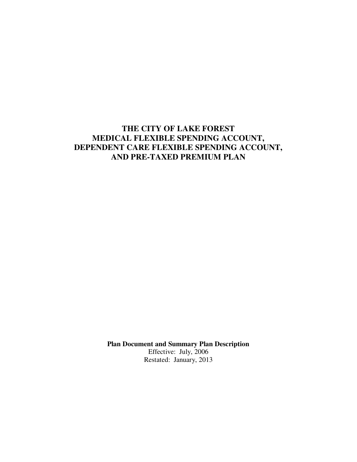# **THE CITY OF LAKE FOREST MEDICAL FLEXIBLE SPENDING ACCOUNT, DEPENDENT CARE FLEXIBLE SPENDING ACCOUNT, AND PRE-TAXED PREMIUM PLAN**

**Plan Document and Summary Plan Description** 

Effective: July, 2006 Restated: January, 2013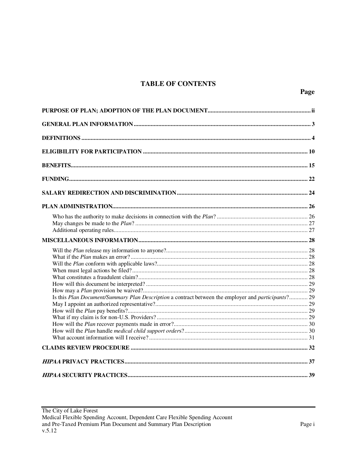# **TABLE OF CONTENTS**

| Is this Plan Document/Summary Plan Description a contract between the employer and participants? 29 |  |
|-----------------------------------------------------------------------------------------------------|--|
|                                                                                                     |  |
|                                                                                                     |  |
|                                                                                                     |  |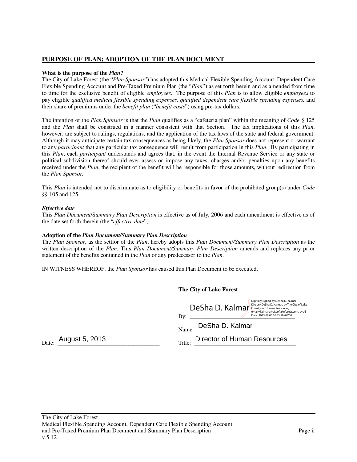## **PURPOSE OF PLAN; ADOPTION OF THE PLAN DOCUMENT**

#### **What is the purpose of the** *Plan***?**

The City of Lake Forest (the "*Plan Sponsor*") has adopted this Medical Flexible Spending Account, Dependent Care Flexible Spending Account and Pre-Taxed Premium Plan (the "*Plan*") as set forth herein and as amended from time to time for the exclusive benefit of eligible *employees*. The purpose of this *Plan* is to allow eligible *employees* to pay eligible *qualified medical flexible spending expenses, qualified dependent care flexible spending expenses,* and their share of premiums under the *benefit plan* ("*benefit costs*") using pre-tax dollars.

The intention of the *Plan Sponsor* is that the *Plan* qualifies as a "cafeteria plan" within the meaning of *Code* § 125 and the *Plan* shall be construed in a manner consistent with that Section. The tax implications of this *Plan*, however, are subject to rulings, regulations, and the application of the tax laws of the state and federal government. Although it may anticipate certain tax consequences as being likely, the *Plan Sponsor* does not represent or warrant to any *participant* that any particular tax consequence will result from participation in this *Plan*. By participating in this *Plan*, each *participant* understands and agrees that, in the event the Internal Revenue Service or any state or political subdivision thereof should ever assess or impose any taxes, charges and/or penalties upon any benefits received under the *Plan*, the recipient of the benefit will be responsible for those amounts, without redirection from the *Plan Sponsor.*

This *Plan* is intended not to discriminate as to eligibility or benefits in favor of the prohibited group(s) under *Code* §§ 105 and 125.

### *Effective date*

This *Plan Document*/S*ummary Plan Description* is effective as of July, 2006 and each amendment is effective as of the date set forth therein (the "*effective date*").

#### **Adoption of the** *Plan Document/Summary Plan Description*

The *Plan Sponsor*, as the settlor of the *Plan*, hereby adopts this *Plan Document/Summary Plan Description* as the written description of the *Plan*. This *Plan Document/Summary Plan Description* amends and replaces any prior statement of the benefits contained in the *Plan* or any predecessor to the *Plan*.

IN WITNESS WHEREOF, the *Plan Sponsor* has caused this Plan Document to be executed.

**The City of Lake Forest** 

|                | Digitally signed by DeSha D. Kalmar<br>DN: cn=DeSha D. Kalmar, o=The City of Lake<br>DeSha D. Kalmar<br>Forest, ou=Human Resources,<br>email=kalmard@cityoflakeforest.com, c=US<br>Date: 2013.08.05 16:53:59 -05'00'<br>By: |
|----------------|-----------------------------------------------------------------------------------------------------------------------------------------------------------------------------------------------------------------------------|
|                | DeSha D. Kalmar<br>Name:                                                                                                                                                                                                    |
| August 5, 2013 | Director of Human Resources<br>Title:                                                                                                                                                                                       |

Date: August 5, 2013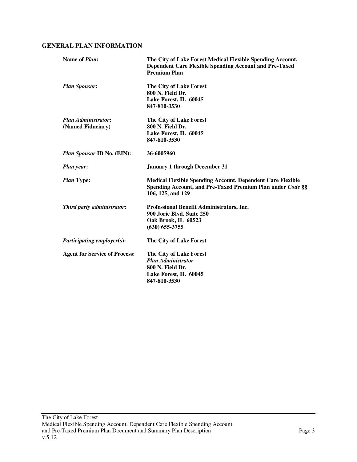## **GENERAL PLAN INFORMATION**

| Name of <i>Plan</i> :                           | The City of Lake Forest Medical Flexible Spending Account,<br><b>Dependent Care Flexible Spending Account and Pre-Taxed</b><br><b>Premium Plan</b>   |
|-------------------------------------------------|------------------------------------------------------------------------------------------------------------------------------------------------------|
| <b>Plan Sponsor:</b>                            | The City of Lake Forest<br>800 N. Field Dr.<br>Lake Forest, IL 60045<br>847-810-3530                                                                 |
| <b>Plan Administrator:</b><br>(Named Fiduciary) | The City of Lake Forest<br>800 N. Field Dr.<br>Lake Forest, IL 60045<br>847-810-3530                                                                 |
| <i>Plan Sponsor ID No. (EIN):</i>               | 36-6005960                                                                                                                                           |
| <b>Plan year:</b>                               | <b>January 1 through December 31</b>                                                                                                                 |
| <i>Plan</i> Type:                               | <b>Medical Flexible Spending Account, Dependent Care Flexible</b><br>Spending Account, and Pre-Taxed Premium Plan under Code §§<br>106, 125, and 129 |
| Third party administrator:                      | Professional Benefit Administrators, Inc.<br>900 Jorie Blvd. Suite 250<br>Oak Brook, IL 60523<br>$(630) 655 - 3755$                                  |
| <i>Participating employer(s):</i>               | The City of Lake Forest                                                                                                                              |
| <b>Agent for Service of Process:</b>            | The City of Lake Forest<br><b>Plan Administrator</b><br>800 N. Field Dr.<br>Lake Forest, IL 60045<br>847-810-3530                                    |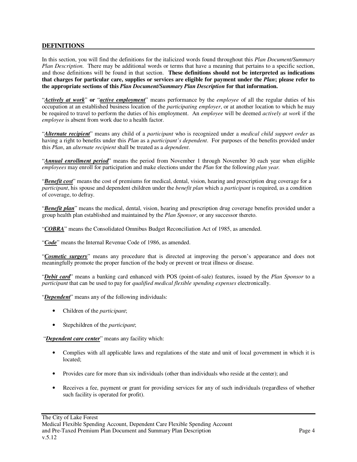### **DEFINITIONS**

In this section, you will find the definitions for the italicized words found throughout this *Plan Document/Summary Plan Description*. There may be additional words or terms that have a meaning that pertains to a specific section, and those definitions will be found in that section. **These definitions should not be interpreted as indications that charges for particular care, supplies or services are eligible for payment under the** *Plan***; please refer to the appropriate sections of this** *Plan Document/Summary Plan Description* **for that information.** 

"*Actively at work*" **or** "*active employment*" means performance by the *employee* of all the regular duties of his occupation at an established business location of the *participating employer*, or at another location to which he may be required to travel to perform the duties of his employment. An *employee* will be deemed *actively at work* if the *employee* is absent from work due to a health factor.

"*Alternate recipient*" means any child of a *participant* who is recognized under a *medical child support order* as having a right to benefits under this *Plan* as a *participant's dependent*. For purposes of the benefits provided under this *Plan*, an *alternate recipient* shall be treated as a *dependent*.

"*Annual enrollment period*" means the period from November 1 through November 30 each year when eligible *employees* may enroll for participation and make elections under the *Plan* for the following *plan year.*

"*Benefit cost*" means the cost of premiums for medical, dental, vision, hearing and prescription drug coverage for a *participant*, his spouse and dependent children under the *benefit plan* which a *participant* is required, as a condition of coverage, to defray.

"*Benefit plan*" means the medical, dental, vision, hearing and prescription drug coverage benefits provided under a group health plan established and maintained by the *Plan Sponsor*, or any successor thereto.

"*COBRA*" means the Consolidated Omnibus Budget Reconciliation Act of 1985, as amended.

"*Code*" means the Internal Revenue Code of 1986, as amended.

"*Cosmetic surgery*" means any procedure that is directed at improving the person's appearance and does not meaningfully promote the proper function of the body or prevent or treat illness or disease.

"*Debit card*" means a banking card enhanced with POS (point-of-sale) features, issued by the *Plan Sponsor* to a *participant* that can be used to pay for *qualified medical flexible spending expenses* electronically.

"*Dependent*" means any of the following individuals:

- Children of the *participant*;
- Stepchildren of the *participant*;

"*Dependent care center*" means any facility which:

- Complies with all applicable laws and regulations of the state and unit of local government in which it is located;
- Provides care for more than six individuals (other than individuals who reside at the center); and
- Receives a fee, payment or grant for providing services for any of such individuals (regardless of whether such facility is operated for profit).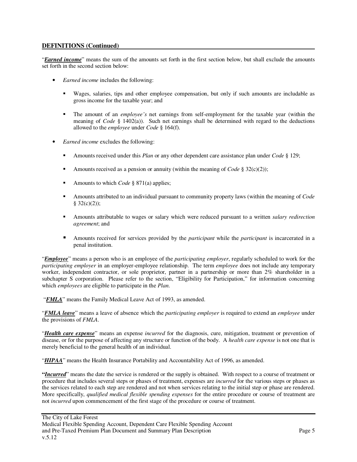"*Earned income*" means the sum of the amounts set forth in the first section below, but shall exclude the amounts set forth in the second section below:

- *Earned income* includes the following:
	- Wages, salaries, tips and other employee compensation, but only if such amounts are includable as gross income for the taxable year; and
	- The amount of an *employee's* net earnings from self-employment for the taxable year (within the meaning of *Code* § 1402(a)). Such net earnings shall be determined with regard to the deductions allowed to the *employee* under *Code* § 164(f).
- *Earned income* excludes the following:
	- Amounts received under this *Plan* or any other dependent care assistance plan under *Code* § 129;
	- Amounts received as a pension or annuity (within the meaning of *Code* § 32(c)(2));
	- Amounts to which *Code* § 871(a) applies;
	- Amounts attributed to an individual pursuant to community property laws (within the meaning of *Code*  $$32(c)(2))$ ;
	- Amounts attributable to wages or salary which were reduced pursuant to a written *salary redirection agreement*; and
	- Amounts received for services provided by the *participant* while the *participant* is incarcerated in a penal institution.

"*Employee*" means a person who is an employee of the *participating employer*, regularly scheduled to work for the *participating employer* in an employer-employee relationship. The term *employee* does not include any temporary worker, independent contractor, or sole proprietor, partner in a partnership or more than 2% shareholder in a subchapter S corporation. Please refer to the section, "Eligibility for Participation," for information concerning which *employees* are eligible to participate in the *Plan*.

"*FMLA*" means the Family Medical Leave Act of 1993, as amended.

"*FMLA leave*" means a leave of absence which the *participating employer* is required to extend an *employee* under the provisions of *FMLA*.

"*Health care expense*" means an expense *incurred* for the diagnosis, cure, mitigation, treatment or prevention of disease, or for the purpose of affecting any structure or function of the body. A *health care expense* is not one that is merely beneficial to the general health of an individual.

"*HIPAA*" means the Health Insurance Portability and Accountability Act of 1996, as amended.

**"***Incurred*" means the date the service is rendered or the supply is obtained. With respect to a course of treatment or procedure that includes several steps or phases of treatment, expenses are *incurred* for the various steps or phases as the services related to each step are rendered and not when services relating to the initial step or phase are rendered. More specifically, *qualified medical flexible spending expenses* for the entire procedure or course of treatment are not *incurred* upon commencement of the first stage of the procedure or course of treatment.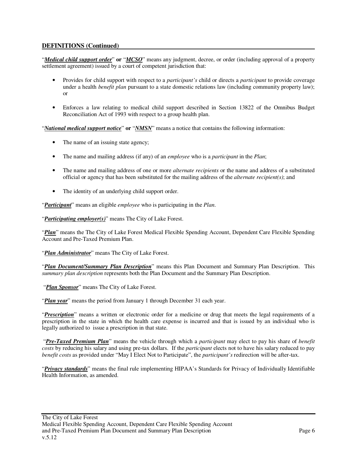"*Medical child support order*" **or** "*MCSO*" means any judgment, decree, or order (including approval of a property settlement agreement) issued by a court of competent jurisdiction that:

- Provides for child support with respect to a *participant's* child or directs a *participant* to provide coverage under a health *benefit plan* pursuant to a state domestic relations law (including community property law); or
- Enforces a law relating to medical child support described in Section 13822 of the Omnibus Budget Reconciliation Act of 1993 with respect to a group health plan.

"*National medical support notice*" **or** "*NMSN*" means a notice that contains the following information:

- The name of an issuing state agency;
- The name and mailing address (if any) of an *employee* who is a *participant* in the *Plan*;
- The name and mailing address of one or more *alternate recipients* or the name and address of a substituted official or agency that has been substituted for the mailing address of the *alternate recipient(s)*; and
- The identity of an underlying child support order.

"*Participant*" means an eligible *employee* who is participating in the *Plan*.

"*Participating employer(s)*" means The City of Lake Forest.

"*Plan*" means the The City of Lake Forest Medical Flexible Spending Account, Dependent Care Flexible Spending Account and Pre-Taxed Premium Plan.

"*Plan Administrator*" means The City of Lake Forest.

"*Plan Document/Summary Plan Description*" means this Plan Document and Summary Plan Description. This *summary plan description* represents both the Plan Document and the Summary Plan Description.

"*Plan Sponsor*" means The City of Lake Forest.

"*Plan year*" means the period from January 1 through December 31 each year.

"*Prescription*" means a written or electronic order for a medicine or drug that meets the legal requirements of a prescription in the state in which the health care expense is incurred and that is issued by an individual who is legally authorized to issue a prescription in that state.

 "*Pre-Taxed Premium Plan*" means the vehicle through which a *participant* may elect to pay his share of *benefit costs* by reducing his salary and using pre-tax dollars. If the *participant* elects not to have his salary reduced to pay *benefit costs* as provided under "May I Elect Not to Participate", the *participant's* redirection will be after-tax.

"*Privacy standards*" means the final rule implementing HIPAA's Standards for Privacy of Individually Identifiable Health Information, as amended.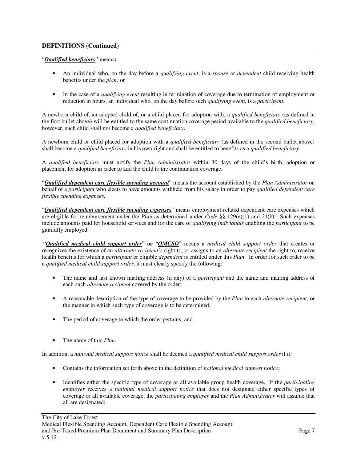### "*Qualified beneficiary*" means**:**

- An individual who, on the day before a *qualifying event*, is a *spouse* or *dependent* child receiving health benefits under the *plan;* or
- In the case of a *qualifying event* resulting in termination of coverage due to termination of employment or reduction in hours, an individual who, on the day before such *qualifying event*, is a *participant*.

A newborn child of, an adopted child of, or a child placed for adoption with, a *qualified beneficiary* (as defined in the first bullet above) will be entitled to the same continuation coverage period available to the *qualified beneficiary*; however, such child shall not become a *qualified beneficiary*.

A newborn child or child placed for adoption with a *qualified beneficiary* (as defined in the second bullet above) shall become a *qualified beneficiary* in his own right and shall be entitled to benefits as a *qualified beneficiary*.

A *qualified beneficiary* must notify the *Plan Administrator* within 30 days of the child's birth, adoption or placement for adoption in order to add the child to the continuation coverage.

"*Qualified dependent care flexible spending account*" means the account established by the *Plan Administrator* on behalf of a *participant* who elects to have amounts withheld from his salary in order to pay *qualified dependent care flexible spending expenses*.

"*Qualified dependent care flexible spending expenses*" means employment-related dependent care expenses which are eligible for reimbursement under the *Plan* as determined under *Code* §§ 129(e)(1) and 21(b). Such expenses include amounts paid for household services and for the care of *qualifying individuals* enabling the *participant* to be gainfully employed.

 "*Qualified medical child support order*" **or** "*QMCSO*" means a *medical child support order* that creates or recognizes the existence of an *alternate recipient*'s right to, or assigns to an *alternate recipient* the right to, receive health benefits for which a *participant* or eligible *dependent* is entitled under this *Plan*. In order for such order to be a *qualified medical child support order*, it must clearly specify the following:

- The name and last known mailing address (if any) of a *participant* and the name and mailing address of each such *alternate recipient* covered by the order;
- A reasonable description of the type of coverage to be provided by the *Plan* to each *alternate recipient*, or the manner in which such type of coverage is to be determined;
- The period of coverage to which the order pertains; and
- The name of this *Plan*.

In addition, a *national medical support notice* shall be deemed a *qualified medical child support order* if it:

- Contains the information set forth above in the definition of *national medical support notice*;
- Identifies either the specific type of coverage or all available group health coverage. If the *participating employer* receives a *national medical support notice* that does not designate either specific types of coverage or all available coverage, the *participating employer* and the *Plan Administrator* will assume that all are designated;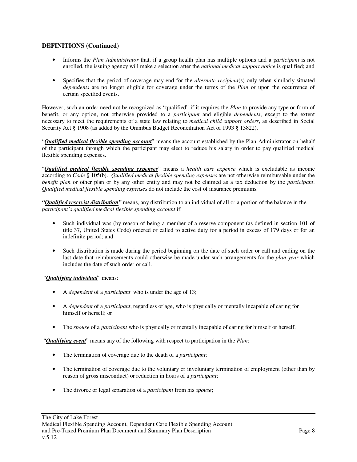- Informs the *Plan Administrator* that, if a group health plan has multiple options and a p*articipant* is not enrolled, the issuing agency will make a selection after the *national medical support notice* is qualified; and
- Specifies that the period of coverage may end for the *alternate recipient*(s) only when similarly situated *dependents* are no longer eligible for coverage under the terms of the *Plan* or upon the occurrence of certain specified events.

However, such an order need not be recognized as "qualified" if it requires the *Plan* to provide any type or form of benefit, or any option, not otherwise provided to a *participant* and eligible *dependents*, except to the extent necessary to meet the requirements of a state law relating to *medical child support orders*, as described in Social Security Act § 1908 (as added by the Omnibus Budget Reconciliation Act of 1993 § 13822).

"*Qualified medical flexible spending account*" means the account established by the Plan Administrator on behalf of the participant through which the participant may elect to reduce his salary in order to pay qualified medical flexible spending expenses.

"*Qualified medical flexible spending expenses*" means a *health care expense* which is excludable as income according to *Code* § 105(b). *Qualified medical flexible spending expenses* are not otherwise reimbursable under the *benefit plan* or other plan or by any other entity and may not be claimed as a tax deduction by the *participant*. *Qualified medical flexible spending expenses* do not include the cost of insurance premiums.

*"Qualified reservist distribution"* means, any distribution to an individual of all or a portion of the balance in the *participant's qualified medical flexible spending account* if:

- Such individual was (by reason of being a member of a reserve component (as defined in section 101 of title 37, United States Code) ordered or called to active duty for a period in excess of 179 days or for an indefinite period; and
- Such distribution is made during the period beginning on the date of such order or call and ending on the last date that reimbursements could otherwise be made under such arrangements for the *plan year* which includes the date of such order or call.

## "*Qualifying individual*" means:

- A *dependent* of a *participant* who is under the age of 13;
- A *dependent* of a *participant*, regardless of age, who is physically or mentally incapable of caring for himself or herself; or
- The *spouse* of a *participant* who is physically or mentally incapable of caring for himself or herself.

"*Qualifying event*" means any of the following with respect to participation in the *Plan*:

- The termination of coverage due to the death of a *participant*;
- The termination of coverage due to the voluntary or involuntary termination of employment (other than by reason of gross misconduct) or reduction in hours of a *participant*;
- The divorce or legal separation of a *participant* from his *spouse*;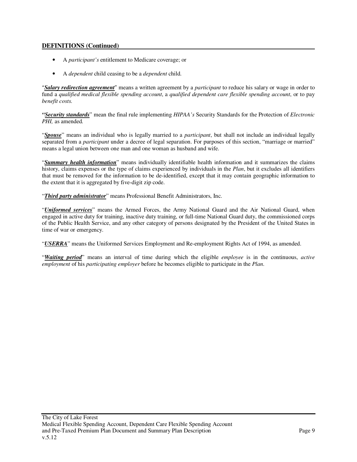- A *participant's* entitlement to Medicare coverage; or
- A *dependent* child ceasing to be a *dependent* child.

"*Salary redirection agreement*" means a written agreement by a *participant* to reduce his salary or wage in order to fund a *qualified medical flexible spending account*, a *qualified dependent care flexible spending account*, or to pay *benefit costs.* 

*"Security standards*" mean the final rule implementing *HIPAA's* Security Standards for the Protection of *Electronic PHI,* as amended*.*

"*Spouse*" means an individual who is legally married to a *participant*, but shall not include an individual legally separated from a *participant* under a decree of legal separation. For purposes of this section, "marriage or married" means a legal union between one man and one woman as husband and wife.

"*Summary health information*" means individually identifiable health information and it summarizes the claims history, claims expenses or the type of claims experienced by individuals in the *Plan*, but it excludes all identifiers that must be removed for the information to be de-identified, except that it may contain geographic information to the extent that it is aggregated by five-digit zip code.

"*Third party administrator*" means Professional Benefit Administrators, Inc.

"*Uniformed services*" means the Armed Forces, the Army National Guard and the Air National Guard, when engaged in active duty for training, inactive duty training, or full-time National Guard duty, the commissioned corps of the Public Health Service, and any other category of persons designated by the President of the United States in time of war or emergency.

"*USERRA*" means the Uniformed Services Employment and Re-employment Rights Act of 1994, as amended.

"*Waiting period*" means an interval of time during which the eligible *employee* is in the continuous, *active employment* of his *participating employer* before he becomes eligible to participate in the *Plan*.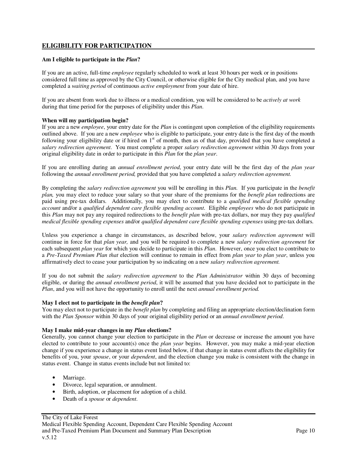## **ELIGIBILITY FOR PARTICIPATION**

#### **Am I eligible to participate in the** *Plan***?**

If you are an active, full-time *employee* regularly scheduled to work at least 30 hours per week or in positions considered full time as approved by the City Council, or otherwise eligible for the City medical plan, and you have completed a *waiting period* of continuous *active employment* from your date of hire.

If you are absent from work due to illness or a medical condition, you will be considered to be *actively at work* during that time period for the purposes of eligibility under this *Plan*.

#### **When will my participation begin?**

If you are a new *employee*, your entry date for the *Plan* is contingent upon completion of the eligibility requirements outlined above. If you are a new *employee* who is eligible to participate, your entry date is the first day of the month following your eligibility date or if hired on  $1<sup>st</sup>$  of month, then as of that day, provided that you have completed a *salary redirection agreement*. You must complete a proper *salary redirection agreement w*ithin 30 days from your original eligibility date in order to participate in this *Plan* for the *plan year*.

If you are enrolling during an *annual enrollment period*, your entry date will be the first day of the *plan year* following the *annual enrollment period,* provided that you have completed a *salary redirection agreement.*

By completing the *salary redirection agreement* you will be enrolling in this *Plan.* If you participate in the *benefit plan,* you may elect to reduce your salary so that your share of the premiums for the *benefit plan* redirections are paid using pre-tax dollars. Additionally, you may elect to contribute to a *qualified medical flexible spending account* and/or a *qualified dependent care flexible spending account*. Eligible *employees* who do not participate in this *Plan* may not pay any required redirections to the *benefit plan* with pre-tax dollars, nor may they pay *qualified medical flexible spending expenses* and/or *qualified dependent care flexible spending expenses* using pre-tax dollars.

Unless you experience a change in circumstances, as described below, your *salary redirection agreement* will continue in force for that *plan year,* and you will be required to complete a new *salary redirection agreement* for each subsequent *plan year* for which you decide to participate in this *Plan*. However, once you elect to contribute to a *Pre-Taxed Premium Plan that* election will continue to remain in effect from *plan year* to *plan year*, unless you affirmatively elect to cease your participation by so indicating on a new *salary redirection agreement.*

If you do not submit the *salary redirection agreement* to the *Plan Administrator* within 30 days of becoming eligible, or during the *annual enrollment period*, it will be assumed that you have decided not to participate in the *Plan*, and you will not have the opportunity to enroll until the next *annual enrollment period.* 

#### **May I elect not to participate in the** *benefit plan***?**

You may elect not to participate in the *benefit plan* by completing and filing an appropriate election/declination form with the *Plan Sponsor* within 30 days of your original eligibility period or an *annual enrollment period*.

#### **May I make mid-year changes in my** *Plan* **elections?**

Generally, you cannot change your election to participate in the *Plan* or decrease or increase the amount you have elected to contribute to your account(s) once the *plan year* begins. However, you may make a mid-year election change if you experience a change in status event listed below, if that change in status event affects the eligibility for benefits of you, your *spouse*, or your *dependent*, and the election change you make is consistent with the change in status event. Change in status events include but not limited to:

- Marriage.
- Divorce, legal separation, or annulment.
- Birth, adoption, or placement for adoption of a child.
- Death of a *spouse* or *dependent*.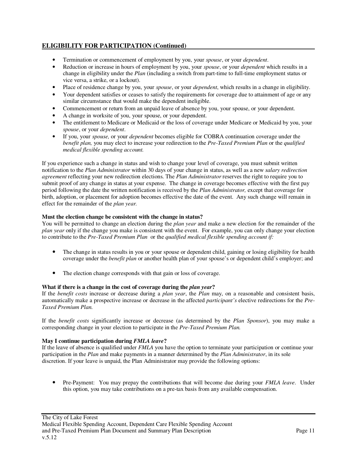- Termination or commencement of employment by you, your *spouse*, or your *dependent*.
- Reduction or increase in hours of employment by you, your *spouse*, or your *dependent* which results in a change in eligibility under the *Plan* (including a switch from part-time to full-time employment status or vice versa, a strike, or a lockout).
- Place of residence change by you, your *spouse*, or your *dependent*, which results in a change in eligibility.
- Your dependent satisfies or ceases to satisfy the requirements for coverage due to attainment of age or any similar circumstance that would make the dependent ineligible.
- Commencement or return from an unpaid leave of absence by you, your spouse, or your dependent.
- A change in worksite of you, your spouse, or your dependent.
- The entitlement to Medicare or Medicaid or the loss of coverage under Medicare or Medicaid by you, your *spouse*, or your *dependent*.
- If you, your *spouse,* or your *dependent* becomes eligible for COBRA continuation coverage under the *benefit plan,* you may elect to increase your redirection to the *Pre-Taxed Premium Plan* or the *qualified medical flexible spending account.*

If you experience such a change in status and wish to change your level of coverage, you must submit written notification to the *Plan Administrator* within 30 days of your change in status, as well as a new *salary redirection agreement* reflecting your new redirection elections. The *Plan Administrator* reserves the right to require you to submit proof of any change in status at your expense. The change in coverage becomes effective with the first pay period following the date the written notification is received by the *Plan Administrator,* except that coverage for birth, adoption, or placement for adoption becomes effective the date of the event. Any such change will remain in effect for the remainder of the *plan year.* 

### **Must the election change be consistent with the change in status?**

You will be permitted to change an election during the *plan year* and make a new election for the remainder of the *plan year* only if the change you make is consistent with the event. For example, you can only change your election to contribute to the *Pre-Taxed Premium Plan* or the *qualified medical flexible spending account if:* 

- The change in status results in you or your spouse or dependent child, gaining or losing eligibility for health coverage under the *benefit plan* or another health plan of your spouse's or dependent child's employer; and
- The election change corresponds with that gain or loss of coverage.

#### **What if there is a change in the cost of coverage during the** *plan year***?**

If the *benefit costs* increase or decrease during a *plan year*, the *Plan* may, on a reasonable and consistent basis, automatically make a prospective increase or decrease in the affected *participant's* elective redirections for the *Pre-Taxed Premium Plan.* 

If the *benefit costs* significantly increase or decrease (as determined by the *Plan Sponsor*), you may make a corresponding change in your election to participate in the *Pre-Taxed Premium Plan.* 

#### **May I continue participation during** *FMLA leave***?**

If the leave of absence is qualified under *FMLA* you have the option to terminate your participation or continue your participation in the *Plan* and make payments in a manner determined by the *Plan Administrator*, in its sole discretion. If your leave is unpaid, the Plan Administrator may provide the following options:

• Pre-Payment: You may prepay the contributions that will become due during your *FMLA leave*. Under this option, you may take contributions on a pre-tax basis from any available compensation.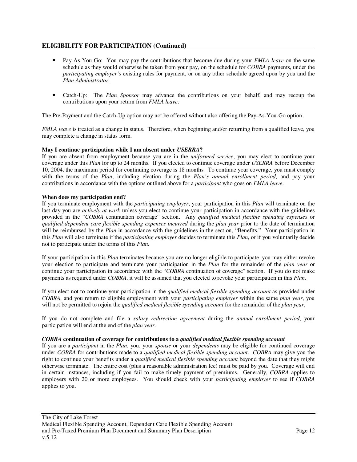- Pay-As-You-Go: You may pay the contributions that become due during your *FMLA leave* on the same schedule as they would otherwise be taken from your pay, on the schedule for *COBRA* payments, under the *participating employer's* existing rules for payment, or on any other schedule agreed upon by you and the *Plan Administrator*.
- Catch-Up: The *Plan Sponsor* may advance the contributions on your behalf, and may recoup the contributions upon your return from *FMLA leave*.

The Pre-Payment and the Catch-Up option may not be offered without also offering the Pay-As-You-Go option.

*FMLA leave* is treated as a change in status. Therefore, when beginning and/or returning from a qualified leave, you may complete a change in status form.

#### **May I continue participation while I am absent under** *USERRA***?**

If you are absent from employment because you are in the *uniformed service*, you may elect to continue your coverage under this *Plan* for up to 24 months. If you elected to continue coverage under *USERRA* before December 10, 2004, the maximum period for continuing coverage is 18 months. To continue your coverage, you must comply with the terms of the *Plan*, including election during the *Plan's annual enrollment period*, and pay your contributions in accordance with the options outlined above for a *participant* who goes on *FMLA leave*.

#### **When does my participation end?**

If you terminate employment with the *participating employer*, your participation in this *Plan* will terminate on the last day you are *actively at work* unless you elect to continue your participation in accordance with the guidelines provided in the "*COBRA* continuation coverage" section. Any *qualified medical flexible spending expenses* or *qualified dependent care flexible spending expenses incurred* during the *plan year* prior to the date of termination will be reimbursed by the *Plan* in accordance with the guidelines in the section, "Benefits." Your participation in this *Plan* will also terminate if the *participating employer* decides to terminate this *Plan*, or if you voluntarily decide not to participate under the terms of this *Plan*.

If your participation in this *Plan* terminates because you are no longer eligible to participate, you may either revoke your election to participate and terminate your participation in the *Plan* for the remainder of the *plan year* or continue your participation in accordance with the "*COBRA* continuation of coverage" section. If you do not make payments as required under *COBRA*, it will be assumed that you elected to revoke your participation in this *Plan*.

If you elect not to continue your participation in the *qualified medical flexible spending account* as provided under *COBRA*, and you return to eligible employment with your *participating employer* within the same *plan year*, you will not be permitted to rejoin the *qualified medical flexible spending account* for the remainder of the *plan year*.

If you do not complete and file a *salary redirection agreement* during the *annual enrollment period*, your participation will end at the end of the *plan year*.

#### *COBRA* **continuation of coverage for contributions to a** *qualified medical flexible spending account*

If you are a *participant* in the *Plan*, you, your *spouse* or your *dependents* may be eligible for continued coverage under *COBRA* for contributions made to a *qualified medical flexible spending account*. *COBRA* may give you the right to continue your benefits under a *qualified medical flexible spending account* beyond the date that they might otherwise terminate. The entire cost (plus a reasonable administration fee) must be paid by you. Coverage will end in certain instances, including if you fail to make timely payment of premiums. Generally, *COBRA* applies to employers with 20 or more employees. You should check with your *participating employer* to see if *COBRA* applies to you.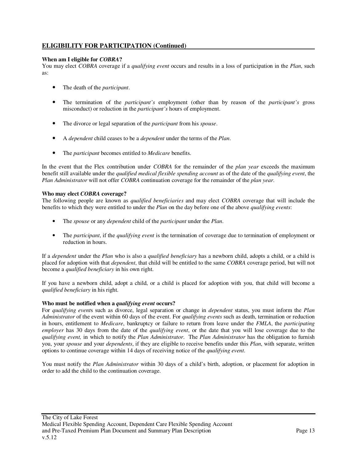### **When am I eligible for** *COBRA***?**

You may elect *COBRA* coverage if a *qualifying event* occurs and results in a loss of participation in the *Plan*, such as:

- The death of the *participant*.
- The termination of the *participant's* employment (other than by reason of the *participant's* gross misconduct) or reduction in the *participant's* hours of employment.
- The divorce or legal separation of the *participant* from his *spouse*.
- A *dependent* child ceases to be a *dependent* under the terms of the *Plan*.
- The *participant* becomes entitled to *Medicare* benefits.

In the event that the Flex contribution under *COBRA* for the remainder of the *plan year* exceeds the maximum benefit still available under the *qualified medical flexible spending account* as of the date of the *qualifying event*, the *Plan Administrator* will not offer *COBRA* continuation coverage for the remainder of the *plan year*.

#### **Who may elect** *COBRA* **coverage?**

The following people are known as *qualified beneficiaries* and may elect *COBRA* coverage that will include the benefits to which they were entitled to under the *Plan* on the day before one of the above *qualifying events*:

- The *spouse* or any *dependent* child of the *participant* under the *Plan*.
- The *participant*, if the *qualifying event* is the termination of coverage due to termination of employment or reduction in hours.

If a *dependent* under the *Plan* who is also a *qualified beneficiary* has a newborn child, adopts a child, or a child is placed for adoption with that *dependent*, that child will be entitled to the same *COBRA* coverage period, but will not become a *qualified beneficiary* in his own right.

If you have a newborn child, adopt a child, or a child is placed for adoption with you, that child will become a *qualified beneficiary* in his right.

#### **Who must be notified when a** *qualifying event* **occurs?**

For *qualifying event*s such as divorce, legal separation or change in *dependent* status, you must inform the *Plan Administrator* of the event within 60 days of the event. For *qualifying events* such as death, termination or reduction in hours, entitlement to *Medicare*, bankruptcy or failure to return from leave under the *FMLA*, the *participating employer* has 30 days from the date of the *qualifying event*, or the date that you will lose coverage due to the *qualifying event,* in which to notify the *Plan Administrator*. The *Plan Administrator* has the obligation to furnish you, your *spouse* and your *dependents*, if they are eligible to receive benefits under this *Plan*, with separate, written options to continue coverage within 14 days of receiving notice of the *qualifying event*.

You must notify the *Plan Administrator* within 30 days of a child's birth, adoption, or placement for adoption in order to add the child to the continuation coverage.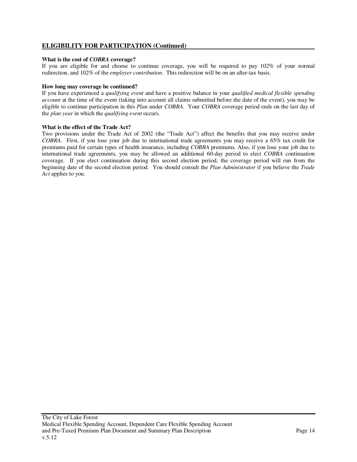### **What is the cost of** *COBRA* **coverage?**

If you are eligible for and choose to continue coverage, you will be required to pay 102% of your normal redirection, and 102% of the *employer contribution*. This redirection will be on an after-tax basis.

### **How long may coverage be continued?**

If you have experienced a *qualifying event* and have a positive balance in your *qualified medical flexible spending account* at the time of the event (taking into account all claims submitted before the date of the event), you may be eligible to continue participation in this *Plan* under *COBRA*. Your *COBRA* coverage period ends on the last day of the *plan year* in which the *qualifying event* occurs.

#### **What is the effect of the Trade Act?**

Two provisions under the Trade Act of 2002 (the "Trade Act") affect the benefits that you may receive under *COBRA*. First, if you lose your job due to international trade agreements you may receive a 65% tax credit for premiums paid for certain types of health insurance, including *COBRA* premiums. Also, if you lose your job due to international trade agreements, you may be allowed an additional 60-day period to elect *COBRA* continuation coverage. If you elect continuation during this second election period, the coverage period will run from the beginning date of the second election period. You should consult the *Plan Administrator* if you believe the *Trade Act* applies to you.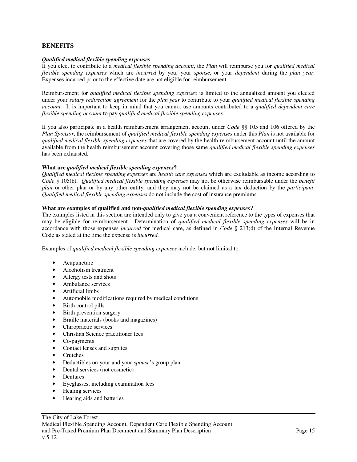### **BENEFITS**

#### *Qualified medical flexible spending expenses*

If you elect to contribute to a *medical flexible spending account*, the *Plan* will reimburse you for *qualified medical flexible spending expenses* which are *incurred* by you, your *spouse*, or your *dependent* during the *plan year*. Expenses incurred prior to the effective date are not eligible for reimbursement.

Reimbursement for *qualified medical flexible spending expenses* is limited to the annualized amount you elected under your *salary redirection agreement* for the *plan year* to contribute to your *qualified medical flexible spending account*. It is important to keep in mind that you cannot use amounts contributed to a *qualified dependent care flexible spending account* to pay *qualified medical flexible spending expenses.* 

If you also participate in a health reimbursement arrangement account under *Code* §§ 105 and 106 offered by the *Plan Sponsor*, the reimbursement of *qualified medical flexible spending expenses* under this *Plan* is not available for *qualified medical flexible spending expenses* that are covered by the health reimbursement account until the amount available from the health reimbursement account covering those same *qualified medical flexible spending expenses* has been exhausted.

#### **What are** *qualified medical flexible spending expenses***?**

*Qualified medical flexible spending expenses* are *health care expenses* which are excludable as income according to *Code* § 105(b). *Qualified medical flexible spending expenses* may not be otherwise reimbursable under the *benefit plan* or other plan or by any other entity, and they may not be claimed as a tax deduction by the *participant*. *Qualified medical flexible spending expenses* do not include the cost of insurance premiums.

#### **What are examples of qualified and non-***qualified medical flexible spending expenses***?**

The examples listed in this section are intended only to give you a convenient reference to the types of expenses that may be eligible for reimbursement. Determination of *qualified medical flexible spending expenses* will be in accordance with those expenses *incurred* for medical care, as defined in *Code* § 213(d) of the Internal Revenue Code as stated at the time the expense is *incurred*.

Examples of *qualified medical flexible spending expenses* include, but not limited to:

- Acupuncture
- Alcoholism treatment
- Allergy tests and shots
- Ambulance services
- Artificial limbs
- Automobile modifications required by medical conditions
- Birth control pills
- Birth prevention surgery
- Braille materials (books and magazines)
- Chiropractic services
- Christian Science practitioner fees
- Co-payments
- Contact lenses and supplies
- Crutches
- Deductibles on your and your *spouse*'s group plan
- Dental services (not cosmetic)
- Dentures
- Eyeglasses, including examination fees
- Healing services
- Hearing aids and batteries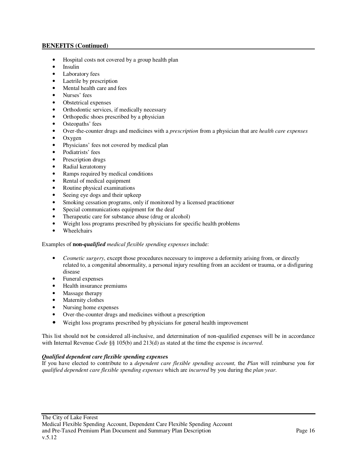- Hospital costs not covered by a group health plan
- Insulin
- Laboratory fees
- Laetrile by prescription
- Mental health care and fees
- Nurses' fees
- Obstetrical expenses
- Orthodontic services, if medically necessary
- Orthopedic shoes prescribed by a physician
- Osteopaths' fees
- Over-the-counter drugs and medicines with a *prescription* from a physician that are *health care expenses*
- Oxygen
- Physicians' fees not covered by medical plan
- Podiatrists' fees
- Prescription drugs
- Radial keratotomy
- Ramps required by medical conditions
- Rental of medical equipment
- Routine physical examinations
- Seeing eye dogs and their upkeep
- Smoking cessation programs, only if monitored by a licensed practitioner
- Special communications equipment for the deaf
- Therapeutic care for substance abuse (drug or alcohol)
- Weight loss programs prescribed by physicians for specific health problems
- Wheelchairs

#### Examples of **non-***qualified medical flexible spending expenses* include:

- *Cosmetic surgery*, except those procedures necessary to improve a deformity arising from, or directly related to, a congenital abnormality, a personal injury resulting from an accident or trauma, or a disfiguring disease
- Funeral expenses
- Health insurance premiums
- Massage therapy
- Maternity clothes
- Nursing home expenses
- Over-the-counter drugs and medicines without a prescription
- Weight loss programs prescribed by physicians for general health improvement

This list should not be considered all-inclusive, and determination of non-qualified expenses will be in accordance with Internal Revenue *Code* §§ 105(b) and 213(d) as stated at the time the expense is *incurred*.

#### *Qualified dependent care flexible spending expense***s**

If you have elected to contribute to a *dependent care flexible spending account,* the *Plan* will reimburse you for *qualified dependent care flexible spending expenses* which are *incurred* by you during the *plan year*.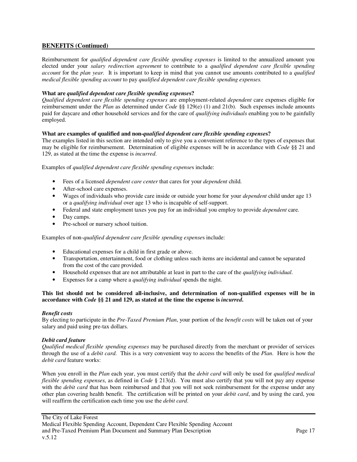Reimbursement for *qualified dependent care flexible spending expenses* is limited to the annualized amount you elected under your *salary redirection agreement* to contribute to a *qualified dependent care flexible spending account* for the *plan year.* It is important to keep in mind that you cannot use amounts contributed to a *qualified medical flexible spending account* to pay *qualified dependent care flexible spending expenses.* 

#### **What are** *qualified dependent care flexible spending expense***s?**

*Qualified dependent care flexible spending expenses* are employment-related *dependent* care expenses eligible for reimbursement under the *Plan* as determined under *Code* §§ 129(e) (1) and 21(b). Such expenses include amounts paid for daycare and other household services and for the care of *qualifying individuals* enabling you to be gainfully employed.

#### **What are examples of qualified and non-***qualified dependent care flexible spending expense***s?**

The examples listed in this section are intended only to give you a convenient reference to the types of expenses that may be eligible for reimbursement. Determination of eligible expenses will be in accordance with *Code* §§ 21 and 129, as stated at the time the expense is *incurred*.

Examples of *qualified dependent care flexible spending expense*s include:

- Fees of a licensed *dependent care center* that cares for your *dependent* child.
- After-school care expenses.
- Wages of individuals who provide care inside or outside your home for your *dependent* child under age 13 or a *qualifying individual* over age 13 who is incapable of self-support.
- Federal and state employment taxes you pay for an individual you employ to provide *dependent* care.
- Day camps.
- Pre-school or nursery school tuition.

Examples of non-*qualified dependent care flexible spending expense*s include:

- Educational expenses for a child in first grade or above.
- Transportation, entertainment, food or clothing unless such items are incidental and cannot be separated from the cost of the care provided.
- Household expenses that are not attributable at least in part to the care of the *qualifying individual*.
- Expenses for a camp where a *qualifying individual* spends the night.

#### **This list should not be considered all-inclusive, and determination of non-qualified expenses will be in accordance with** *Code* **§§ 21 and 129, as stated at the time the expense is** *incurred***.**

#### *Benefit costs*

By electing to participate in the *Pre-Taxed Premium Plan*, your portion of the *benefit costs* will be taken out of your salary and paid using pre-tax dollars.

#### *Debit card feature*

*Qualified medical flexible spending expenses* may be purchased directly from the merchant or provider of services through the use of a *debit card*. This is a very convenient way to access the benefits of the *Plan*. Here is how the *debit card* feature works:

When you enroll in the *Plan* each year, you must certify that the *debit card* will only be used for *qualified medical flexible spending expenses*, as defined in *Code* § 213(d). You must also certify that you will not pay any expense with the *debit card* that has been reimbursed and that you will not seek reimbursement for the expense under any other plan covering health benefit. The certification will be printed on your *debit card*, and by using the card, you will reaffirm the certification each time you use the *debit card*.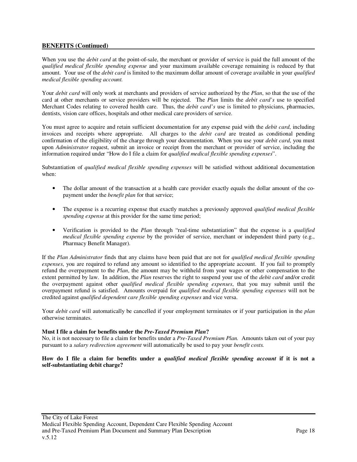When you use the *debit card* at the point-of-sale, the merchant or provider of service is paid the full amount of the *qualified medical flexible spending expense* and your maximum available coverage remaining is reduced by that amount. Your use of the *debit card* is limited to the maximum dollar amount of coverage available in your *qualified medical flexible spending account.* 

Your *debit card* will only work at merchants and providers of service authorized by the *Plan*, so that the use of the card at other merchants or service providers will be rejected. The *Plan* limits the *debit card's* use to specified Merchant Codes relating to covered health care. Thus, the *debit card's* use is limited to physicians, pharmacies, dentists, vision care offices, hospitals and other medical care providers of service.

You must agree to acquire and retain sufficient documentation for any expense paid with the *debit card*, including invoices and receipts where appropriate. All charges to the *debit card* are treated as conditional pending confirmation of the eligibility of the charge through your documentation. When you use your *debit card*, you must upon *Administrator* request, submit an invoice or receipt from the merchant or provider of service, including the information required under "How do I file a claim for *qualified medical flexible spending expenses*".

Substantiation of *qualified medical flexible spending expenses* will be satisfied without additional documentation when:

- The dollar amount of the transaction at a health care provider exactly equals the dollar amount of the copayment under the *benefit plan* for that service;
- The expense is a recurring expense that exactly matches a previously approved *qualified medical flexible spending expense* at this provider for the same time period;
- Verification is provided to the *Plan* through "real-time substantiation" that the expense is a *qualified medical flexible spending expense* by the provider of service, merchant or independent third party (e.g., Pharmacy Benefit Manager).

If the *Plan Administrator* finds that any claims have been paid that are not for *qualified medical flexible spending expenses*, you are required to refund any amount so identified to the appropriate account. If you fail to promptly refund the overpayment to the *Plan*, the amount may be withheld from your wages or other compensation to the extent permitted by law. In addition, the *Plan* reserves the right to suspend your use of the *debit card* and/or credit the overpayment against other *qualified medical flexible spending expenses*, that you may submit until the overpayment refund is satisfied. Amounts overpaid for *qualified medical flexible spending expenses* will not be credited against *qualified dependent care flexible spending expenses* and vice versa.

Your *debit card* will automatically be cancelled if your employment terminates or if your participation in the *plan* otherwise terminates.

#### **Must I file a claim for benefits under the** *Pre-Taxed Premium Plan***?**

No, it is not necessary to file a claim for benefits under a *Pre-Taxed Premium Plan.* Amounts taken out of your pay pursuant to a *salary redirection agreement* will automatically be used to pay your *benefit costs.*

#### **How do I file a claim for benefits under a** *qualified medical flexible spending account* **if it is not a self-substantiating debit charge?**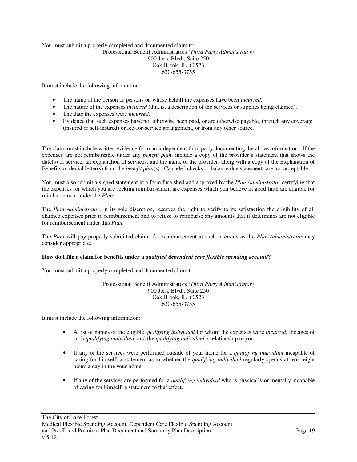#### You must submit a properly completed and documented claim to: Professional Benefit Administrators *(Third Party Administrator)*  900 Jorie Blvd., Suite 250 Oak Brook, IL 60523 630-655-3755

It must include the following information:

- The name of the person or persons on whose behalf the expenses have been *incurred*.
- The nature of the expenses *incurred* (that is, a description of the services or supplies being claimed).
- The date the expenses were *incurred*.
- Evidence that such expenses have not otherwise been paid, or are otherwise payable, through any coverage (insured or self-insured) or fee-for-service arrangement, or from any other source.

The claim must include written evidence from an independent third party documenting the above information. If the expenses are not reimbursable under any *benefit plan*, include a copy of the provider's statement that shows the date(s) of service, an explanation of services, and the name of the provider, along with a copy of the Explanation of Benefits or denial letter(s) from the *benefit plan*(s). Canceled checks or balance due statements are not acceptable.

You must also submit a signed statement in a form furnished and approved by the *Plan Administrator* certifying that the expenses for which you are seeking reimbursement are expenses which you believe in good faith are eligible for reimbursement under the *Plan*.

The *Plan Administrator*, in its sole discretion, reserves the right to verify to its satisfaction the eligibility of all claimed expenses prior to reimbursement and to refuse to reimburse any amounts that it determines are not eligible for reimbursement under this *Plan*.

The *Plan* will pay properly submitted claims for reimbursement at such intervals as the *Plan Administrator* may consider appropriate.

#### **How do I file a claim for benefits under a** *qualified dependent care flexible spending account***?**

You must submit a properly completed and documented claim to:

#### Professional Benefit Administrators *(Third Party Administrator)*  900 Jorie Blvd., Suite 250 Oak Brook, IL 60523 630-655-3755

It must include the following information:

- A list of names of the eligible *qualifying individual* for whom the expenses were *incurred*, the ages of such *qualifying individual*, and the *qualifying individual's* relationship to you.
- If any of the services were performed outside of your home for a *qualifying individual* incapable of caring for himself, a statement as to whether the *qualifying individual* regularly spends at least eight hours a day in the your home.
- If any of the services are performed for a *qualifying individual* who is physically or mentally incapable of caring for himself, a statement to that effect.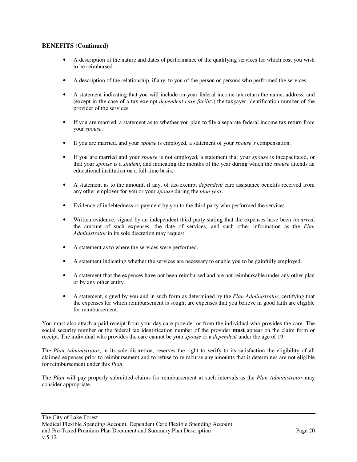- A description of the nature and dates of performance of the qualifying services for which cost you wish to be reimbursed.
- A description of the relationship, if any, to you of the person or persons who performed the services.
- A statement indicating that you will include on your federal income tax return the name, address, and (except in the case of a tax-exempt *dependent care facility*) the taxpayer identification number of the provider of the services.
- If you are married, a statement as to whether you plan to file a separate federal income tax return from your *spouse*.
- If you are married, and your *spouse* is employed, a statement of your *spouse's* compensation.
- If you are married and your *spouse* is not employed, a statement that your *spouse* is incapacitated, or that your *spouse* is a *student*, and indicating the months of the year during which the *spouse* attends an educational institution on a full-time basis.
- A statement as to the amount, if any, of tax-exempt *dependent* care assistance benefits received from any other employer for you or your *spouse* during the *plan year*.
- Evidence of indebtedness or payment by you to the third party who performed the services.
- Written evidence, signed by an independent third party stating that the expenses have been *incurred*, the amount of such expenses, the date of services, and such other information as the *Plan Administrator* in its sole discretion may request.
- A statement as to where the services were performed.
- A statement indicating whether the services are necessary to enable you to be gainfully employed.
- A statement that the expenses have not been reimbursed and are not reimbursable under any other plan or by any other entity.
- A statement, signed by you and in such form as determined by the *Plan Administrator*, certifying that the expenses for which reimbursement is sought are expenses that you believe in good faith are eligible for reimbursement.

You must also attach a paid receipt from your day care provider or from the individual who provides the care. The social security number or the federal tax identification number of the provider **must** appear on the claim form or receipt. The individual who provides the care cannot be your *spouse* or a *dependent* under the age of 19.

The *Plan Administrator*, in its sole discretion, reserves the right to verify to its satisfaction the eligibility of all claimed expenses prior to reimbursement and to refuse to reimburse any amounts that it determines are not eligible for reimbursement under this *Plan*.

The *Plan* will pay properly submitted claims for reimbursement at such intervals as the *Plan Administrator* may consider appropriate.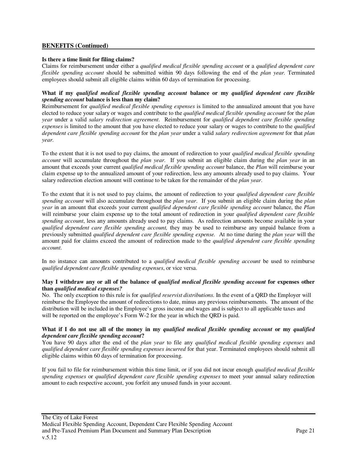#### **Is there a time limit for filing claims?**

Claims for reimbursement under either a *qualified medical flexible spending account* or a *qualified dependent care flexible spending account* should be submitted within 90 days following the end of the *plan year.* Terminated employees should submit all eligible claims within 60 days of termination for processing.

#### **What if my** *qualified medical flexible spending account* **balance or my** *qualified dependent care flexible spending account* **balance is less than my claim?**

Reimbursement for *qualified medical flexible spending expenses* is limited to the annualized amount that you have elected to reduce your salary or wages and contribute to the *qualified medical flexible spending account* for the *plan year* under a valid *salary redirection agreement*. Reimbursement for *qualified dependent care flexible spending expenses* is limited to the amount that you have elected to reduce your salary or wages to contribute to the *qualified dependent care flexible spending account* for the *plan year* under a valid *salary redirection agreement* for that *plan year*.

To the extent that it is not used to pay claims, the amount of redirection to your *qualified medical flexible spending account* will accumulate throughout the *plan year*. If you submit an eligible claim during the *plan year* in an amount that exceeds your current *qualified medical flexible spending account* balance, the *Plan* will reimburse your claim expense up to the annualized amount of your redirection, less any amounts already used to pay claims. Your salary redirection election amount will continue to be taken for the remainder of the *plan year*.

To the extent that it is not used to pay claims, the amount of redirection to your *qualified dependent care flexible spending account* will also accumulate throughout the *plan year*. If you submit an eligible claim during the *plan year* in an amount that exceeds your current *qualified dependent care flexible spending account* balance, the *Plan* will reimburse your claim expense up to the total amount of redirection in your *qualified dependent care flexible spending account*, less any amounts already used to pay claims. As redirection amounts become available in your *qualified dependent care flexible spending account,* they may be used to reimburse any unpaid balance from a previously submitted *qualified dependent care flexible spending expense.* At no time during the *plan year* will the amount paid for claims exceed the amount of redirection made to the *qualified dependent care flexible spending account*.

In no instance can amounts contributed to a *qualified medical flexible spending account* be used to reimburse *qualified dependent care flexible spending expenses*, or vice versa.

#### **May I withdraw any or all of the balance of** *qualified medical flexible spending account* **for expenses other than** *qualified medical expenses?*

No. The only exception to this rule is for *qualified reservist distributions.* In the event of a QRD the Employer will reimburse the Employee the amount of redirections to date, minus any previous reimbursements. The amount of the distribution will be included in the Employee's gross income and wages and is subject to all applicable taxes and will be reported on the employee's Form W-2 for the year in which the ORD is paid.

#### **What if I do not use all of the money in my** *qualified medical flexible spending account* **or my** *qualified dependent care flexible spending account***?**

You have 90 days after the end of the *plan year* to file any *qualified medical flexible spending expenses* and *qualified dependent care flexible spending expenses incurred* for that year. Terminated employees should submit all eligible claims within 60 days of termination for processing.

If you fail to file for reimbursement within this time limit, or if you did not incur enough *qualified medical flexible spending expenses* or *qualified dependent care flexible spending expenses* to meet your annual salary redirection amount to each respective account, you forfeit any unused funds in your account.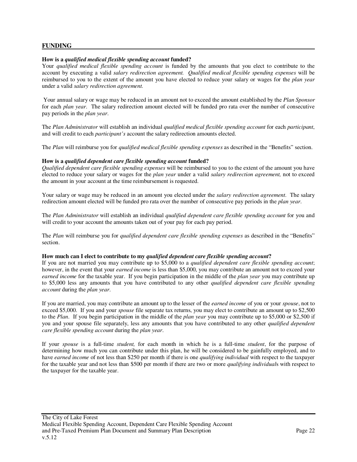### **FUNDING**

#### **How is a** *qualified medical flexible spending account* **funded?**

Your *qualified medical flexible spending account* is funded by the amounts that you elect to contribute to the account by executing a valid *salary redirection agreement. Qualified medical flexible spending expenses* will be reimbursed to you to the extent of the amount you have elected to reduce your salary or wages for the *plan year* under a valid *salary redirection agreement.* 

 Your annual salary or wage may be reduced in an amount not to exceed the amount established by the *Plan Sponsor* for each *plan year*. The salary redirection amount elected will be funded pro rata over the number of consecutive pay periods in the *plan year*.

The *Plan Administrator* will establish an individual *qualified medical flexible spending account* for each *participant*, and will credit to each *participant's* account the salary redirection amounts elected.

The *Plan* will reimburse you for *qualified medical flexible spending expenses* as described in the "Benefits" section.

#### **How is a** *qualified dependent care flexible spending account* **funded?**

*Qualified dependent care flexible spending expenses* will be reimbursed to you to the extent of the amount you have elected to reduce your salary or wages for the *plan year* under a valid *salary redirection agreement,* not to exceed the amount in your account at the time reimbursement is requested.

Your salary or wage may be reduced in an amount you elected under the *salary redirection agreement*. The salary redirection amount elected will be funded pro rata over the number of consecutive pay periods in the *plan year*.

The *Plan Administrator* will establish an individual *qualified dependent care flexible spending account* for you and will credit to your account the amounts taken out of your pay for each pay period.

The *Plan* will reimburse you for *qualified dependent care flexible spending expenses* as described in the "Benefits" section.

#### **How much can I elect to contribute to my** *qualified dependent care flexible spending account***?**

If you are not married you may contribute up to \$5,000 to a *qualified dependent care flexible spending account*; however, in the event that your *earned income* is less than \$5,000, you may contribute an amount not to exceed your *earned income* for the taxable year. If you begin participation in the middle of the *plan year* you may contribute up to \$5,000 less any amounts that you have contributed to any other *qualified dependent care flexible spending account* during the *plan year*.

If you are married, you may contribute an amount up to the lesser of the *earned income* of you or your *spouse*, not to exceed \$5,000. If you and your *spouse* file separate tax returns, you may elect to contribute an amount up to \$2,500 to the *Plan*. If you begin participation in the middle of the *plan year* you may contribute up to \$5,000 or \$2,500 if you and your spouse file separately, less any amounts that you have contributed to any other *qualified dependent care flexible spending account* during the *plan year*.

If your *spouse* is a full-time *student,* for each month in which he is a full-time *student*, for the purpose of determining how much you can contribute under this plan, he will be considered to be gainfully employed, and to have *earned income* of not less than \$250 per month if there is one *qualifying individual* with respect to the taxpayer for the taxable year and not less than \$500 per month if there are two or more *qualifying individual*s with respect to the taxpayer for the taxable year.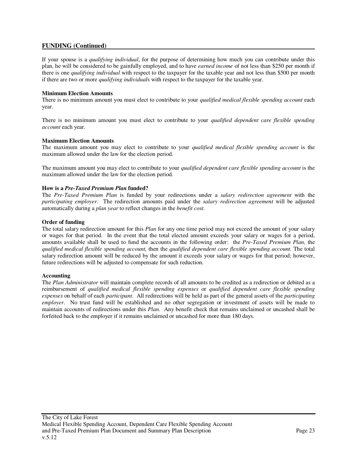## **FUNDING (Continued)**

If your spouse is a *qualifying individual*, for the purpose of determining how much you can contribute under this plan, he will be considered to be gainfully employed, and to have *earned income* of not less than \$250 per month if there is one *qualifying individual* with respect to the taxpayer for the taxable year and not less than \$500 per month if there are two or more *qualifying individual*s with respect to the taxpayer for the taxable year.

#### **Minimum Election Amounts**

There is no minimum amount you must elect to contribute to your *qualified medical flexible spending account* each year.

There is no minimum amount you must elect to contribute to your *qualified dependent care flexible spending account* each year.

#### **Maximum Election Amounts**

The maximum amount you may elect to contribute to your *qualified medical flexible spending account* is the maximum allowed under the law for the election period.

The maximum amount you may elect to contribute to your *qualified dependent care flexible spending account* is the maximum allowed under the law for the election period.

#### **How is a** *Pre-Taxed Premium Plan* **funded?**

The *Pre-Taxed Premium Plan* is funded by your redirections under a *salary redirection agreement* with the *participating employer*. The redirection amounts paid under the *salary redirection agreement* will be adjusted automatically during a *plan year* to reflect changes in the *benefit cost*.

#### **Order of funding**

The total salary redirection amount for this *Plan* for any one time period may not exceed the amount of your salary or wages for that period. In the event that the total elected amount exceeds your salary or wages for a period, amounts available shall be used to fund the accounts in the following order: the *Pre-Taxed Premium Plan,* the *qualified medical flexible spending account,* then the *qualified dependent care flexible spending account.* The total salary redirection amount will be reduced by the amount it exceeds your salary or wages for that period; however, future redirections will be adjusted to compensate for such reduction.

#### **Accounting**

The *Plan Administrator* will maintain complete records of all amounts to be credited as a redirection or debited as a reimbursement of *qualified medical flexible spending expenses* or *qualified dependent care flexible spending expenses* on behalf of each *participant*. All redirections will be held as part of the general assets of the *participating employer*. No trust fund will be established and no other segregation or investment of assets will be made to maintain accounts of redirections under this *Plan*. Any benefit check that remains unclaimed or uncashed shall be forfeited back to the employer if it remains unclaimed or uncashed for more than 180 days.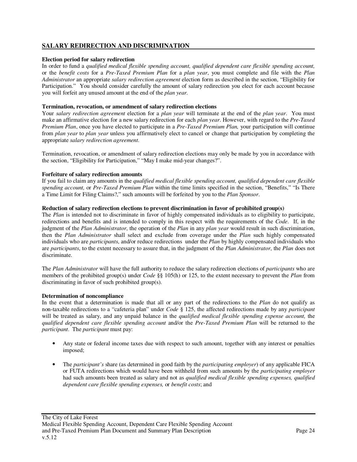## **SALARY REDIRECTION AND DISCRIMINATION**

#### **Election period for salary redirection**

In order to fund a *qualified medical flexible spending account, qualified dependent care flexible spending account,*  or the *benefit costs* for a *Pre-Taxed Premium Plan* for a *plan year*, you must complete and file with the *Plan Administrator* an appropriate *salary redirection agreement* election form as described in the section, "Eligibility for Participation." You should consider carefully the amount of salary redirection you elect for each account because you will forfeit any unused amount at the end of the *plan year.*

#### **Termination, revocation, or amendment of salary redirection elections**

Your *salary redirection agreement* election for a *plan year* will terminate at the end of the *plan year*. You must make an affirmative election for a new salary redirection for each *plan year*. However, with regard to the *Pre-Taxed Premium Plan*, once you have elected to participate in a *Pre-Taxed Premium Plan,* your participation will continue from *plan year* to *plan year* unless you affirmatively elect to cancel or change that participation by completing the appropriate *salary redirection agreement*.

Termination, revocation, or amendment of salary redirection elections may only be made by you in accordance with the section, "Eligibility for Participation," "May I make mid-year changes?".

#### **Forfeiture of salary redirection amounts**

If you fail to claim any amounts in the *qualified medical flexible spending account, qualified dependent care flexible spending account,* or *Pre-Taxed Premium Plan* within the time limits specified in the section, "Benefits," "Is There a Time Limit for Filing Claims?," such amounts will be forfeited by you to the *Plan Sponsor*.

#### **Reduction of salary redirection elections to prevent discrimination in favor of prohibited group(s)**

The *Plan* is intended not to discriminate in favor of highly compensated individuals as to eligibility to participate, redirections and benefits and is intended to comply in this respect with the requirements of the *Code*. If, in the judgment of the *Plan Administrator*, the operation of the *Plan* in any *plan year* would result in such discrimination, then the *Plan Administrator* shall select and exclude from coverage under the *Plan* such highly compensated individuals who are *participants*, and/or reduce redirections under the *Plan* by highly compensated individuals who are *participants*, to the extent necessary to assure that, in the judgment of the *Plan Administrator*, the *Plan* does not discriminate.

The *Plan Administrator* will have the full authority to reduce the salary redirection elections of *participants* who are members of the prohibited group(s) under *Code* §§ 105(h) or 125, to the extent necessary to prevent the *Plan* from discriminating in favor of such prohibited group(s).

#### **Determination of noncompliance**

In the event that a determination is made that all or any part of the redirections to the *Plan* do not qualify as non-taxable redirections to a "cafeteria plan" under *Code* § 125, the affected redirections made by any *participant* will be treated as salary, and any unpaid balance in the *qualified medical flexible spending expense account,* the *qualified dependent care flexible spending account* and/or the *Pre-Taxed Premium Plan* will be returned to the *participant*. The *participant* must pay:

- Any state or federal income taxes due with respect to such amount, together with any interest or penalties imposed;
- The *participant's* share (as determined in good faith by the *participating employer*) of any applicable FICA or FUTA redirections which would have been withheld from such amounts by the *participating employer* had such amounts been treated as salary and not as *qualified medical flexible spending expenses, qualified dependent care flexible spending expenses,* or *benefit costs*; and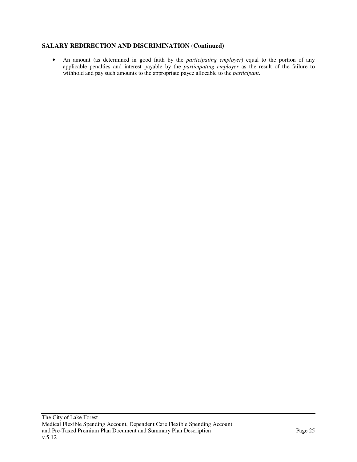## **SALARY REDIRECTION AND DISCRIMINATION (Continued)**

• An amount (as determined in good faith by the *participating employer*) equal to the portion of any applicable penalties and interest payable by the *participating employer* as the result of the failure to withhold and pay such amounts to the appropriate payee allocable to the *participant*.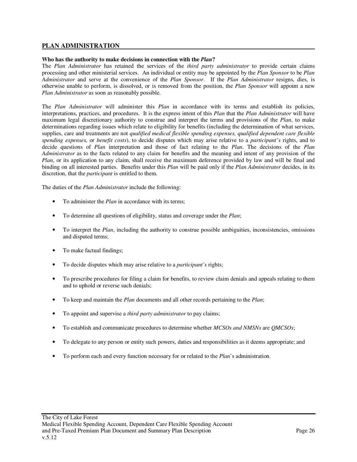## **PLAN ADMINISTRATION**

#### **Who has the authority to make decisions in connection with the** *Plan***?**

The *Plan Administrator* has retained the services of the *third party administrator* to provide certain claims processing and other ministerial services. An individual or entity may be appointed by the *Plan Sponsor* to be *Plan Administrator* and serve at the convenience of the *Plan Sponsor*. If the *Plan Administrator* resigns, dies, is otherwise unable to perform, is dissolved, or is removed from the position, the *Plan Sponsor* will appoint a new *Plan Administrator* as soon as reasonably possible.

The *Plan Administrator* will administer this *Plan* in accordance with its terms and establish its policies, interpretations, practices, and procedures. It is the express intent of this *Plan* that the *Plan Administrator* will have maximum legal discretionary authority to construe and interpret the terms and provisions of the *Plan*, to make determinations regarding issues which relate to eligibility for benefits (including the determination of what services, supplies, care and treatments are not *qualified medical flexible spending expenses, qualified dependent care flexible spending expenses,* or *benefit costs*), to decide disputes which may arise relative to a *participant's* rights, and to decide questions of *Plan* interpretation and those of fact relating to the *Plan*. The decisions of the *Plan Administrator* as to the facts related to any claim for benefits and the meaning and intent of any provision of the *Plan*, or its application to any claim, shall receive the maximum deference provided by law and will be final and binding on all interested parties. Benefits under this *Plan* will be paid only if the *Plan Administrator* decides, in its discretion, that the *participant* is entitled to them.

The duties of the *Plan Administrator* include the following:

- To administer the *Plan* in accordance with its terms;
- To determine all questions of eligibility, status and coverage under the *Plan*;
- To interpret the *Plan*, including the authority to construe possible ambiguities, inconsistencies, omissions and disputed terms;
- To make factual findings;
- To decide disputes which may arise relative to a *participant's* rights;
- To prescribe procedures for filing a claim for benefits, to review claim denials and appeals relating to them and to uphold or reverse such denials;
- To keep and maintain the *Plan* documents and all other records pertaining to the *Plan*;
- To appoint and supervise a *third party administrator* to pay claims;
- To establish and communicate procedures to determine whether *MCSOs and NMSNs* are *QMCSOs*;
- To delegate to any person or entity such powers, duties and responsibilities as it deems appropriate; and
- To perform each and every function necessary for or related to the *Plan*'s administration.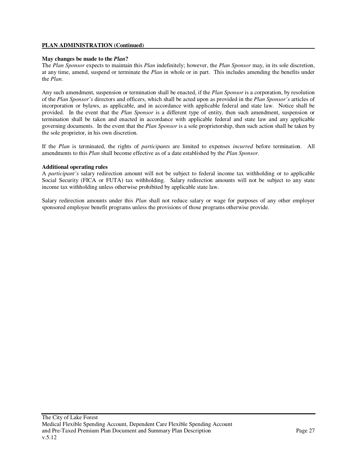#### **PLAN ADMINISTRATION (Continued)**

#### **May changes be made to the** *Plan***?**

The *Plan Sponsor* expects to maintain this *Plan* indefinitely; however, the *Plan Sponsor* may, in its sole discretion, at any time, amend, suspend or terminate the *Plan* in whole or in part. This includes amending the benefits under the *Plan*.

Any such amendment, suspension or termination shall be enacted, if the *Plan Sponsor* is a corporation, by resolution of the *Plan Sponsor's* directors and officers, which shall be acted upon as provided in the *Plan Sponsor's* articles of incorporation or bylaws, as applicable, and in accordance with applicable federal and state law. Notice shall be provided. In the event that the *Plan Sponsor* is a different type of entity, then such amendment, suspension or termination shall be taken and enacted in accordance with applicable federal and state law and any applicable governing documents. In the event that the *Plan Sponsor* is a sole proprietorship, then such action shall be taken by the sole proprietor, in his own discretion.

If the *Plan* is terminated, the rights of *participants* are limited to expenses *incurred* before termination. All amendments to this *Plan* shall become effective as of a date established by the *Plan Sponsor*.

#### **Additional operating rules**

A *participant's* salary redirection amount will not be subject to federal income tax withholding or to applicable Social Security (FICA or FUTA) tax withholding. Salary redirection amounts will not be subject to any state income tax withholding unless otherwise prohibited by applicable state law.

Salary redirection amounts under this *Plan* shall not reduce salary or wage for purposes of any other employer sponsored employee benefit programs unless the provisions of those programs otherwise provide.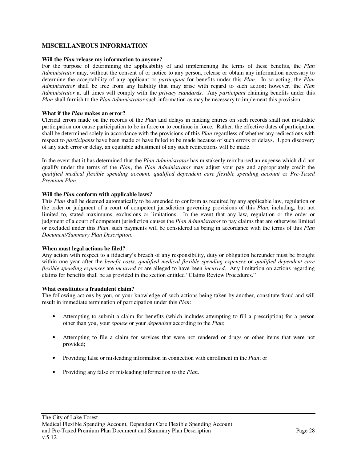### **MISCELLANEOUS INFORMATION**

#### **Will the** *Plan* **release my information to anyone?**

For the purpose of determining the applicability of and implementing the terms of these benefits, the *Plan Administrator* may, without the consent of or notice to any person, release or obtain any information necessary to determine the acceptability of any applicant or *participant* for benefits under this *Plan*. In so acting, the *Plan Administrator* shall be free from any liability that may arise with regard to such action; however, the *Plan Administrator* at all times will comply with the *privacy standards*. Any *participant* claiming benefits under this *Plan* shall furnish to the *Plan Administrator* such information as may be necessary to implement this provision.

#### **What if the** *Plan* **makes an error?**

Clerical errors made on the records of the *Plan* and delays in making entries on such records shall not invalidate participation nor cause participation to be in force or to continue in force. Rather, the effective dates of participation shall be determined solely in accordance with the provisions of this *Plan* regardless of whether any redirections with respect to *participants* have been made or have failed to be made because of such errors or delays. Upon discovery of any such error or delay, an equitable adjustment of any such redirections will be made.

In the event that it has determined that the *Plan Administrator* has mistakenly reimbursed an expense which did not qualify under the terms of the *Plan*, the *Plan Administrator* may adjust your pay and appropriately credit the *qualified medical flexible spending account, qualified dependent care flexible spending account* or *Pre-Taxed Premium Plan.*

#### **Will the** *Plan* **conform with applicable laws?**

This *Plan* shall be deemed automatically to be amended to conform as required by any applicable law, regulation or the order or judgment of a court of competent jurisdiction governing provisions of this *Plan*, including, but not limited to, stated maximums, exclusions or limitations. In the event that any law, regulation or the order or judgment of a court of competent jurisdiction causes the *Plan Administrator* to pay claims that are otherwise limited or excluded under this *Plan*, such payments will be considered as being in accordance with the terms of this *Plan Document/Summary Plan Description*.

#### **When must legal actions be filed?**

Any action with respect to a fiduciary's breach of any responsibility, duty or obligation hereunder must be brought within one year after the *benefit costs, qualified medical flexible spending expenses* or *qualified dependent care flexible spending expenses* are *incurred* or are alleged to have been *incurred*. Any limitation on actions regarding claims for benefits shall be as provided in the section entitled "Claims Review Procedures."

#### **What constitutes a fraudulent claim?**

The following actions by you, or your knowledge of such actions being taken by another, constitute fraud and will result in immediate termination of participation under this *Plan*:

- Attempting to submit a claim for benefits (which includes attempting to fill a prescription) for a person other than you, your *spouse* or your *dependent* according to the *Plan*;
- Attempting to file a claim for services that were not rendered or drugs or other items that were not provided;
- Providing false or misleading information in connection with enrollment in the *Plan*; or
- Providing any false or misleading information to the *Plan*.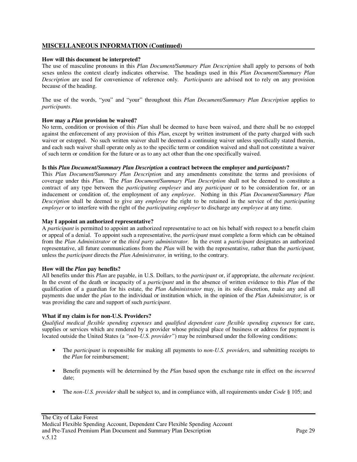## **MISCELLANEOUS INFORMATION (Continued)**

### **How will this document be interpreted?**

The use of masculine pronouns in this *Plan Document/Summary Plan Description* shall apply to persons of both sexes unless the context clearly indicates otherwise. The headings used in this *Plan Document/Summary Plan Description* are used for convenience of reference only. *Participants* are advised not to rely on any provision because of the heading.

The use of the words, "you" and "your" throughout this *Plan Document/Summary Plan Description* applies to *participants*.

### **How may a** *Plan* **provision be waived?**

No term, condition or provision of this *Plan* shall be deemed to have been waived, and there shall be no estoppel against the enforcement of any provision of this *Plan*, except by written instrument of the party charged with such waiver or estoppel. No such written waiver shall be deemed a continuing waiver unless specifically stated therein, and each such waiver shall operate only as to the specific term or condition waived and shall not constitute a waiver of such term or condition for the future or as to any act other than the one specifically waived.

#### **Is this** *Plan Document/Summary Plan Description* **a contract between the employer and** *participants***?**

This *Plan Document/Summary Plan Description* and any amendments constitute the terms and provisions of coverage under this *Plan*. The *Plan Document/Summary Plan Description* shall not be deemed to constitute a contract of any type between the *participating employer* and any *participant* or to be consideration for, or an inducement or condition of, the employment of any *employee*. Nothing in this *Plan Document/Summary Plan Description* shall be deemed to give any *employee* the right to be retained in the service of the *participating employer* or to interfere with the right of the *participating employer* to discharge any *employee* at any time.

### **May I appoint an authorized representative?**

A *participant* is permitted to appoint an authorized representative to act on his behalf with respect to a benefit claim or appeal of a denial. To appoint such a representative, the *participant* must complete a form which can be obtained from the *Plan Administrator* or the *third party administrator.* In the event a *participant* designates an authorized representative, all future communications from the *Plan* will be with the representative, rather than the *participant,* unless the *participant* directs the *Plan Administrator,* in writing, to the contrary.

#### **How will the** *Plan* **pay benefits?**

All benefits under this *Plan* are payable, in U.S. Dollars, to the *participant* or, if appropriate, the *alternate recipient*. In the event of the death or incapacity of a *participant* and in the absence of written evidence to this *Plan* of the qualification of a guardian for his estate, the *Plan Administrator* may, in its sole discretion, make any and all payments due under the *plan* to the individual or institution which, in the opinion of the *Plan Administrator,* is or was providing the care and support of such *participant*.

#### **What if my claim is for non-U.S. Providers?**

*Qualified medical flexible spending expenses* and *qualified dependent care flexible spending expenses* for care, supplies or services which are rendered by a provider whose principal place of business or address for payment is located outside the United States (a *"non-U.S. provider"*) may be reimbursed under the following conditions:

- The *participant* is responsible for making all payments to *non-U.S. providers,* and submitting receipts to the *Plan* for reimbursement;
- Benefit payments will be determined by the *Plan* based upon the exchange rate in effect on the *incurred* date;
- The *non-U.S. provider* shall be subject to, and in compliance with, all requirements under *Code* § 105; and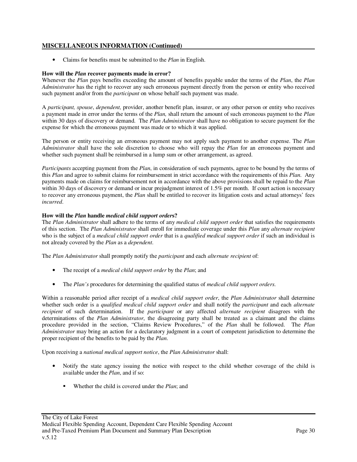## **MISCELLANEOUS INFORMATION (Continued)**

• Claims for benefits must be submitted to the *Plan* in English.

### **How will the** *Plan* **recover payments made in error?**

Whenever the *Plan* pays benefits exceeding the amount of benefits payable under the terms of the *Plan*, the *Plan Administrator* has the right to recover any such erroneous payment directly from the person or entity who received such payment and/or from the *participant* on whose behalf such payment was made.

A *participant, spouse*, *dependent,* provider, another benefit plan, insurer, or any other person or entity who receives a payment made in error under the terms of the *Plan,* shall return the amount of such erroneous payment to the *Plan* within 30 days of discovery or demand. The *Plan Administrator* shall have no obligation to secure payment for the expense for which the erroneous payment was made or to which it was applied.

The person or entity receiving an erroneous payment may not apply such payment to another expense. The *Plan Administrator* shall have the sole discretion to choose who will repay the *Plan* for an erroneous payment and whether such payment shall be reimbursed in a lump sum or other arrangement, as agreed.

*Participants* accepting payment from the *Plan*, in consideration of such payments, agree to be bound by the terms of this *Plan* and agree to submit claims for reimbursement in strict accordance with the requirements of this *Plan*. Any payments made on claims for reimbursement not in accordance with the above provisions shall be repaid to the *Plan* within 30 days of discovery or demand or incur prejudgment interest of 1.5% per month. If court action is necessary to recover any erroneous payment, the *Plan* shall be entitled to recover its litigation costs and actual attorneys' fees *incurred*.

### **How will the** *Plan* **handle** *medical child support order***s?**

The *Plan Administrator* shall adhere to the terms of any *medical child support order* that satisfies the requirements of this section. The *Plan Administrator* shall enroll for immediate coverage under this *Plan* any *alternate recipient* who is the subject of a *medical child support order* that is a *qualified medical support order* if such an individual is not already covered by the *Plan* as a *dependent*.

The *Plan Administrator* shall promptly notify the *participant* and each *alternate recipient* of:

- The receipt of a *medical child support order* by the *Plan*; and
- The *Plan's* procedures for determining the qualified status of *medical child support orders*.

Within a reasonable period after receipt of a *medical child support order*, the *Plan Administrator* shall determine whether such order is a *qualified medical child support order* and shall notify the *participant* and each *alternate recipient* of such determination. If the *participant* or any affected *alternate recipient* disagrees with the determinations of the *Plan Administrator*, the disagreeing party shall be treated as a claimant and the claims procedure provided in the section, "Claims Review Procedures," of the *Plan* shall be followed. The *Plan Administrator* may bring an action for a declaratory judgment in a court of competent jurisdiction to determine the proper recipient of the benefits to be paid by the *Plan*.

Upon receiving a *national medical support notice*, the *Plan Administrator* shall:

- Notify the state agency issuing the notice with respect to the child whether coverage of the child is available under the *Plan*, and if so:
	- Whether the child is covered under the *Plan*; and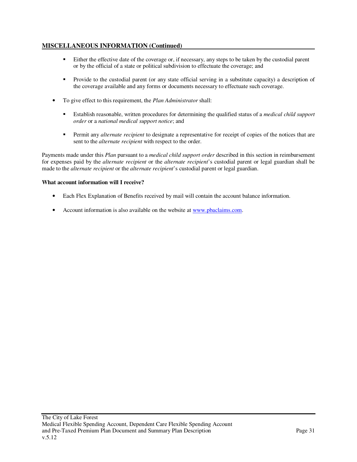## **MISCELLANEOUS INFORMATION (Continued)**

- Either the effective date of the coverage or, if necessary, any steps to be taken by the custodial parent or by the official of a state or political subdivision to effectuate the coverage; and
- Provide to the custodial parent (or any state official serving in a substitute capacity) a description of the coverage available and any forms or documents necessary to effectuate such coverage.
- To give effect to this requirement, the *Plan Administrator* shall:
	- Establish reasonable, written procedures for determining the qualified status of a *medical child support order* or a *national medical support notice*; and
	- Permit any *alternate recipient* to designate a representative for receipt of copies of the notices that are sent to the *alternate recipient* with respect to the order.

Payments made under this *Plan* pursuant to a *medical child support order* described in this section in reimbursement for expenses paid by the *alternate recipient* or the *alternate recipient*'s custodial parent or legal guardian shall be made to the *alternate recipient* or the *alternate recipient*'s custodial parent or legal guardian.

#### **What account information will I receive?**

- Each Flex Explanation of Benefits received by mail will contain the account balance information.
- Account information is also available on the website at www.pbaclaims.com.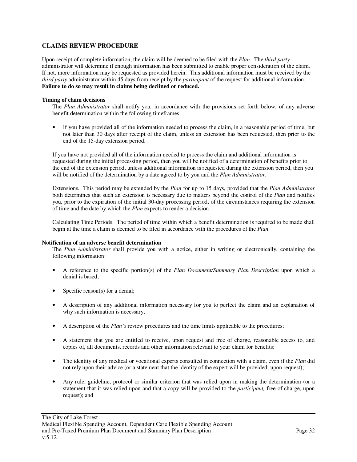## **CLAIMS REVIEW PROCEDURE**

Upon receipt of complete information, the claim will be deemed to be filed with the *Plan*. The *third party*  administrator will determine if enough information has been submitted to enable proper consideration of the claim. If not, more information may be requested as provided herein. This additional information must be received by the *third party* administrator within 45 days from receipt by the *participant* of the request for additional information. **Failure to do so may result in claims being declined or reduced.**

#### **Timing of claim decisions**

The *Plan Administrator* shall notify you*,* in accordance with the provisions set forth below, of any adverse benefit determination within the following timeframes:

• If you have provided all of the information needed to process the claim, in a reasonable period of time, but not later than 30 days after receipt of the claim, unless an extension has been requested, then prior to the end of the 15-day extension period.

If you have not provided all of the information needed to process the claim and additional information is requested during the initial processing period, then you will be notified of a determination of benefits prior to the end of the extension period, unless additional information is requested during the extension period, then you will be notified of the determination by a date agreed to by you and the *Plan Administrator.*

Extensions*.* This period may be extended by the *Plan* for up to 15 days, provided that the *Plan Administrator* both determines that such an extension is necessary due to matters beyond the control of the *Plan* and notifies you*,* prior to the expiration of the initial 30-day processing period, of the circumstances requiring the extension of time and the date by which the *Plan* expects to render a decision.

Calculating Time Periods. The period of time within which a benefit determination is required to be made shall begin at the time a claim is deemed to be filed in accordance with the procedures of the *Plan*.

#### **Notification of an adverse benefit determination**

The *Plan Administrator* shall provide you with a notice, either in writing or electronically, containing the following information:

- A reference to the specific portion(s) of the *Plan Document/Summary Plan Description* upon which a denial is based;
- Specific reason(s) for a denial;
- A description of any additional information necessary for you to perfect the claim and an explanation of why such information is necessary;
- A description of the *Plan's* review procedures and the time limits applicable to the procedures;
- A statement that you are entitled to receive, upon request and free of charge, reasonable access to, and copies of, all documents, records and other information relevant to your claim for benefits;
- The identity of any medical or vocational experts consulted in connection with a claim, even if the *Plan* did not rely upon their advice (or a statement that the identity of the expert will be provided, upon request);
- Any rule, guideline, protocol or similar criterion that was relied upon in making the determination (or a statement that it was relied upon and that a copy will be provided to the *participant,* free of charge, upon request); and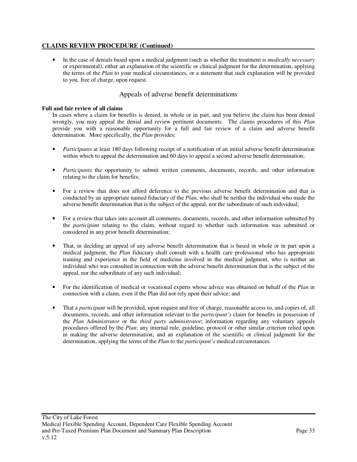• In the case of denials based upon a medical judgment (such as whether the treatment is *medically necessary* or experimental), either an explanation of the scientific or clinical judgment for the determination, applying the terms of the *Plan* to your medical circumstances, or a statement that such explanation will be provided to you*,* free of charge, upon request.

## Appeals of adverse benefit determinations

#### **Full and fair review of all claims**

In cases where a claim for benefits is denied, in whole or in part, and you believe the claim has been denied wrongly, you may appeal the denial and review pertinent documents. The claims procedures of this *Plan* provide you with a reasonable opportunity for a full and fair review of a claim and adverse benefit determination. More specifically, the *Plan* provides:

- *Participants* at least 180 days following receipt of a notification of an initial adverse benefit determination within which to appeal the determination and 60 days to appeal a second adverse benefit determination;
- *Participants* the opportunity to submit written comments, documents, records, and other information relating to the claim for benefits;
- For a review that does not afford deference to the previous adverse benefit determination and that is conducted by an appropriate named fiduciary of the *Plan*, who shall be neither the individual who made the adverse benefit determination that is the subject of the appeal, nor the subordinate of such individual;
- For a review that takes into account all comments, documents, records, and other information submitted by the *participant* relating to the claim, without regard to whether such information was submitted or considered in any prior benefit determination;
- That, in deciding an appeal of any adverse benefit determination that is based in whole or in part upon a medical judgment, the *Plan* fiduciary shall consult with a health care professional who has appropriate training and experience in the field of medicine involved in the medical judgment, who is neither an individual who was consulted in connection with the adverse benefit determination that is the subject of the appeal, nor the subordinate of any such individual;
- For the identification of medical or vocational experts whose advice was obtained on behalf of the *Plan* in connection with a claim, even if the Plan did not rely upon their advice; and
- That a *participant* will be provided, upon request and free of charge, reasonable access to, and copies of, all documents, records, and other information relevant to the *participant's* claim for benefits in possession of the *Plan Administrator* or the *third party administrator*; information regarding any voluntary appeals procedures offered by the *Plan*; any internal rule, guideline, protocol or other similar criterion relied upon in making the adverse determination; and an explanation of the scientific or clinical judgment for the determination, applying the terms of the *Plan* to the *participant's* medical circumstances.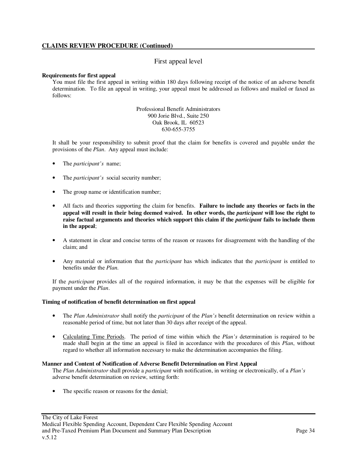## First appeal level

#### **Requirements for first appeal**

You must file the first appeal in writing within 180 days following receipt of the notice of an adverse benefit determination. To file an appeal in writing, your appeal must be addressed as follows and mailed or faxed as follows:

> Professional Benefit Administrators 900 Jorie Blvd., Suite 250 Oak Brook, IL 60523 630-655-3755

It shall be your responsibility to submit proof that the claim for benefits is covered and payable under the provisions of the *Plan*. Any appeal must include:

- The *participant's* name;
- The *participant's* social security number;
- The group name or identification number;
- All facts and theories supporting the claim for benefits. **Failure to include any theories or facts in the appeal will result in their being deemed waived. In other words, the** *participant* **will lose the right to raise factual arguments and theories which support this claim if the** *participant* **fails to include them in the appeal**;
- A statement in clear and concise terms of the reason or reasons for disagreement with the handling of the claim; and
- Any material or information that the *participant* has which indicates that the *participant* is entitled to benefits under the *Plan*.

If the *participant* provides all of the required information, it may be that the expenses will be eligible for payment under the *Plan*.

#### **Timing of notification of benefit determination on first appeal**

- The *Plan Administrator* shall notify the *participant* of the *Plan's* benefit determination on review within a reasonable period of time, but not later than 30 days after receipt of the appeal.
- Calculating Time Periods. The period of time within which the *Plan's* determination is required to be made shall begin at the time an appeal is filed in accordance with the procedures of this *Plan*, without regard to whether all information necessary to make the determination accompanies the filing.

#### **Manner and Content of Notification of Adverse Benefit Determination on First Appeal**

The *Plan Administrator* shall provide a *participant* with notification, in writing or electronically, of a *Plan's* adverse benefit determination on review, setting forth:

• The specific reason or reasons for the denial;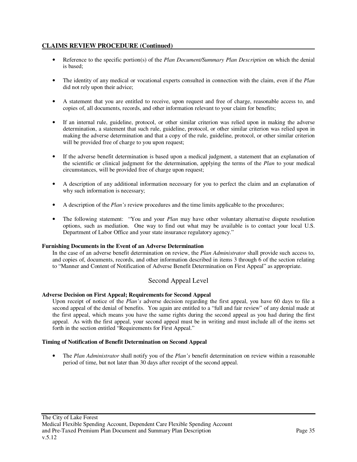- Reference to the specific portion(s) of the *Plan Document/Summary Plan Description* on which the denial is based;
- The identity of any medical or vocational experts consulted in connection with the claim, even if the *Plan* did not rely upon their advice;
- A statement that you are entitled to receive, upon request and free of charge, reasonable access to, and copies of, all documents, records, and other information relevant to your claim for benefits;
- If an internal rule, guideline, protocol, or other similar criterion was relied upon in making the adverse determination, a statement that such rule, guideline, protocol, or other similar criterion was relied upon in making the adverse determination and that a copy of the rule, guideline, protocol, or other similar criterion will be provided free of charge to you upon request;
- If the adverse benefit determination is based upon a medical judgment, a statement that an explanation of the scientific or clinical judgment for the determination, applying the terms of the *Plan* to your medical circumstances, will be provided free of charge upon request;
- A description of any additional information necessary for you to perfect the claim and an explanation of why such information is necessary;
- A description of the *Plan's* review procedures and the time limits applicable to the procedures;
- The following statement: "You and your *Plan* may have other voluntary alternative dispute resolution options, such as mediation. One way to find out what may be available is to contact your local U.S. Department of Labor Office and your state insurance regulatory agency."

#### **Furnishing Documents in the Event of an Adverse Determination**

In the case of an adverse benefit determination on review, the *Plan Administrator* shall provide such access to, and copies of, documents, records, and other information described in items 3 through 6 of the section relating to "Manner and Content of Notification of Adverse Benefit Determination on First Appeal" as appropriate.

## Second Appeal Level

### **Adverse Decision on First Appeal; Requirements for Second Appeal**

Upon receipt of notice of the *Plan's* adverse decision regarding the first appeal, you have 60 days to file a second appeal of the denial of benefits. You again are entitled to a "full and fair review" of any denial made at the first appeal, which means you have the same rights during the second appeal as you had during the first appeal. As with the first appeal, your second appeal must be in writing and must include all of the items set forth in the section entitled "Requirements for First Appeal."

#### **Timing of Notification of Benefit Determination on Second Appeal**

• The *Plan Administrator* shall notify you of the *Plan's* benefit determination on review within a reasonable period of time, but not later than 30 days after receipt of the second appeal.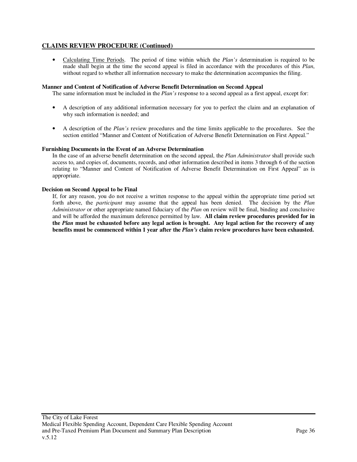• Calculating Time Periods. The period of time within which the *Plan's* determination is required to be made shall begin at the time the second appeal is filed in accordance with the procedures of this *Plan*, without regard to whether all information necessary to make the determination accompanies the filing.

#### **Manner and Content of Notification of Adverse Benefit Determination on Second Appeal**

The same information must be included in the *Plan's* response to a second appeal as a first appeal, except for:

- A description of any additional information necessary for you to perfect the claim and an explanation of why such information is needed; and
- A description of the *Plan's* review procedures and the time limits applicable to the procedures. See the section entitled "Manner and Content of Notification of Adverse Benefit Determination on First Appeal."

#### **Furnishing Documents in the Event of an Adverse Determination**

In the case of an adverse benefit determination on the second appeal, the *Plan Administrator* shall provide such access to, and copies of, documents, records, and other information described in items 3 through 6 of the section relating to "Manner and Content of Notification of Adverse Benefit Determination on First Appeal" as is appropriate.

#### **Decision on Second Appeal to be Final**

If, for any reason, you do not receive a written response to the appeal within the appropriate time period set forth above, the *participant* may assume that the appeal has been denied. The decision by the *Plan Administrator* or other appropriate named fiduciary of the *Plan* on review will be final, binding and conclusive and will be afforded the maximum deference permitted by law. **All claim review procedures provided for in the** *Plan* **must be exhausted before any legal action is brought. Any legal action for the recovery of any benefits must be commenced within 1 year after the** *Plan's* **claim review procedures have been exhausted.**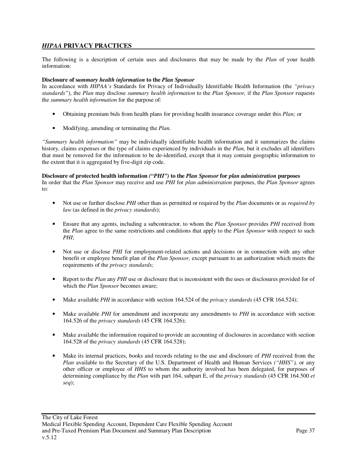## *HIPAA* **PRIVACY PRACTICES**

The following is a description of certain uses and disclosures that may be made by the *Plan* of your health information:

### **Disclosure of s***ummary health information* **to the** *Plan Sponsor*

In accordance with *HIPAA's* Standards for Privacy of Individually Identifiable Health Information (the *"privacy standards"*), the *Plan* may disclose *summary health information* to the *Plan Sponsor,* if the *Plan Sponsor* requests the *summary health information* for the purpose of:

- Obtaining premium bids from health plans for providing health insurance coverage under this *Plan;* or
- Modifying, amending or terminating the *Plan*.

*"Summary health information"* may be individually identifiable health information and it summarizes the claims history, claims expenses or the type of claims experienced by individuals in the *Plan,* but it excludes all identifiers that must be removed for the information to be de-identified, except that it may contain geographic information to the extent that it is aggregated by five-digit zip code.

#### **Disclosure of protected health information** *("PHI")* **to the** *Plan Sponsor* **for** *plan administration* **purposes**

In order that the *Plan Sponsor* may receive and use *PHI* for *plan administration* purposes, the *Plan Sponsor* agrees to:

- Not use or further disclose *PHI* other than as permitted or required by the *Plan* documents or as *required by law* (as defined in the *privacy standards*);
- Ensure that any agents, including a subcontractor, to whom the *Plan Sponsor* provides *PHI* received from the *Plan* agree to the same restrictions and conditions that apply to the *Plan Sponsor* with respect to such *PHI*;
- Not use or disclose *PHI* for employment-related actions and decisions or in connection with any other benefit or employee benefit plan of the *Plan Sponsor,* except pursuant to an authorization which meets the requirements of the *privacy standards;*
- Report to the *Plan* any *PHI* use or disclosure that is inconsistent with the uses or disclosures provided for of which the *Plan Sponsor* becomes aware;
- Make available *PHI* in accordance with section 164.524 of the *privacy standards* (45 CFR 164.524);
- Make available *PHI* for amendment and incorporate any amendments to *PHI* in accordance with section 164.526 of the *privacy standards* (45 CFR 164.526);
- Make available the information required to provide an accounting of disclosures in accordance with section 164.528 of the *privacy standards* (45 CFR 164.528);
- Make its internal practices, books and records relating to the use and disclosure of *PHI* received from the *Plan* available to the Secretary of the U.S. Department of Health and Human Services *("HHS"),* or any other officer or employee of *HHS* to whom the authority involved has been delegated, for purposes of determining compliance by the *Plan* with part 164, subpart E, of the *privacy standards* (45 CFR 164.500 *et seq*);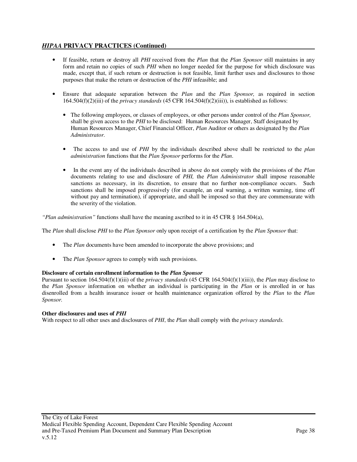## *HIPAA* **PRIVACY PRACTICES (Continued)**

- If feasible, return or destroy all *PHI* received from the *Plan* that the *Plan Sponsor* still maintains in any form and retain no copies of such *PHI* when no longer needed for the purpose for which disclosure was made, except that, if such return or destruction is not feasible, limit further uses and disclosures to those purposes that make the return or destruction of the *PHI* infeasible; and
- Ensure that adequate separation between the *Plan* and the *Plan Sponsor,* as required in section 164.504(f)(2)(iii) of the *privacy standards* (45 CFR 164.504(f)(2)(iii)), is established as follows:
	- The following employees, or classes of employees, or other persons under control of the *Plan Sponsor,*  shall be given access to the *PHI* to be disclosed: Human Resources Manager, Staff designated by Human Resources Manager, Chief Financial Officer, *Plan* Auditor or others as designated by the *Plan Administrator*.
	- The access to and use of *PHI* by the individuals described above shall be restricted to the *plan administration* functions that the *Plan Sponsor* performs for the *Plan*.
	- In the event any of the individuals described in above do not comply with the provisions of the *Plan* documents relating to use and disclosure of *PHI,* the *Plan Administrator* shall impose reasonable sanctions as necessary, in its discretion, to ensure that no further non-compliance occurs. Such sanctions shall be imposed progressively (for example, an oral warning, a written warning, time off without pay and termination), if appropriate, and shall be imposed so that they are commensurate with the severity of the violation.

*"Plan administration"* functions shall have the meaning ascribed to it in 45 CFR § 164.504(a),

The *Plan* shall disclose *PHI* to the *Plan Sponsor* only upon receipt of a certification by the *Plan Sponsor* that:

- The *Plan* documents have been amended to incorporate the above provisions; and
- The *Plan Sponsor* agrees to comply with such provisions.

#### **Disclosure of certain enrollment information to the** *Plan Sponsor*

Pursuant to section 164.504(f)(1)(iii) of the *privacy standards* (45 CFR 164.504(f)(1)(iii)), the *Plan* may disclose to the *Plan Sponsor* information on whether an individual is participating in the *Plan* or is enrolled in or has disenrolled from a health insurance issuer or health maintenance organization offered by the *Plan* to the *Plan Sponsor.*

#### **Other disclosures and uses of** *PHI*

With respect to all other uses and disclosures of *PHI*, the *Plan* shall comply with the *privacy standards.*